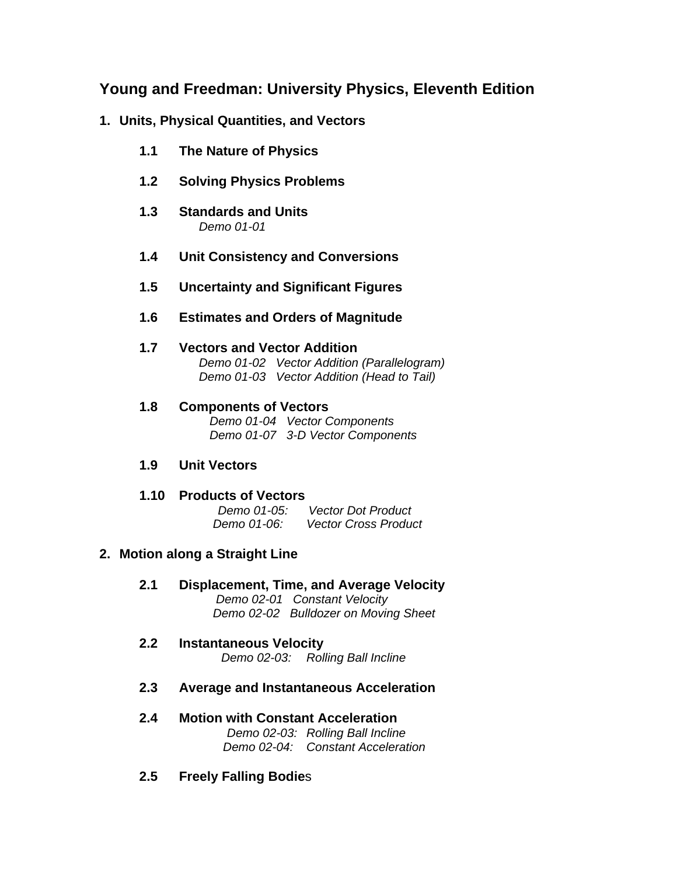## **Young and Freedman: University Physics, Eleventh Edition**

## **1. Units, Physical Quantities, and Vectors**

- **1.1 The Nature of Physics**
- **1.2 Solving Physics Problems**
- **1.3 Standards and Units**   *Demo 01-01*
- **1.4 Unit Consistency and Conversions**
- **1.5 Uncertainty and Significant Figures**
- **1.6 Estimates and Orders of Magnitude**
- **1.7 Vectors and Vector Addition**  *Demo 01-02 Vector Addition (Parallelogram) Demo 01-03 Vector Addition (Head to Tail)*
- **1.8 Components of Vectors**   *Demo 01-04 Vector Components Demo 01-07 3-D Vector Components*
- **1.9 Unit Vectors**
- **1.10 Products of Vectors**

 *Demo 01-05: Vector Dot Product Demo 01-06: Vector Cross Product* 

## **2. Motion along a Straight Line**

- **2.1 Displacement, Time, and Average Velocity**   *Demo 02-01 Constant Velocity Demo 02-02 Bulldozer on Moving Sheet*
- **2.2 Instantaneous Velocity**   *Demo 02-03: Rolling Ball Incline*
- **2.3 Average and Instantaneous Acceleration**
- **2.4 Motion with Constant Acceleration**   *Demo 02-03: Rolling Ball Incline Demo 02-04: Constant Acceleration*
- **2.5 Freely Falling Bodie**s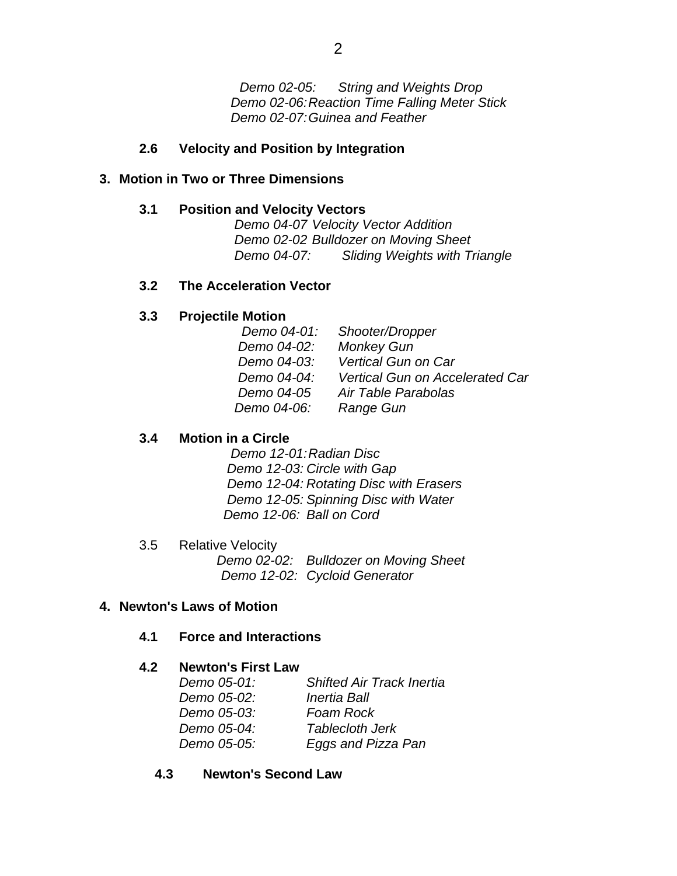*Demo 02-05: String and Weights Drop*  *Demo 02-06: Reaction Time Falling Meter Stick Demo 02-07: Guinea and Feather* 

### **2.6 Velocity and Position by Integration**

### **3. Motion in Two or Three Dimensions**

### **3.1 Position and Velocity Vectors**

 *Demo 04-07 Velocity Vector Addition Demo 02-02 Bulldozer on Moving Sheet Demo 04-07: Sliding Weights with Triangle* 

### **3.2 The Acceleration Vector**

### **3.3 Projectile Motion**

| Demo 04-01: | Shooter/Dropper                 |
|-------------|---------------------------------|
| Demo 04-02: | <b>Monkey Gun</b>               |
| Demo 04-03: | <b>Vertical Gun on Car</b>      |
| Demo 04-04: | Vertical Gun on Accelerated Car |
| Demo 04-05  | Air Table Parabolas             |
| Demo 04-06: | Range Gun                       |
|             |                                 |

### **3.4 Motion in a Circle**

 *Demo 12-01: Radian Disc Demo 12-03: Circle with Gap Demo 12-04: Rotating Disc with Erasers Demo 12-05: Spinning Disc with Water Demo 12-06: Ball on Cord* 

3.5 Relative Velocity  *Demo 02-02: Bulldozer on Moving Sheet Demo 12-02: Cycloid Generator* 

### **4. Newton's Laws of Motion**

### **4.1 Force and Interactions**

### **4.2 Newton's First Law**

| Demo 05-01: | <b>Shifted Air Track Inertia</b> |
|-------------|----------------------------------|
| Demo 05-02: | <b>Inertia Ball</b>              |
| Demo 05-03: | Foam Rock                        |
| Demo 05-04: | <b>Tablecloth Jerk</b>           |
| Demo 05-05: | Eggs and Pizza Pan               |

### **4.3 Newton's Second Law**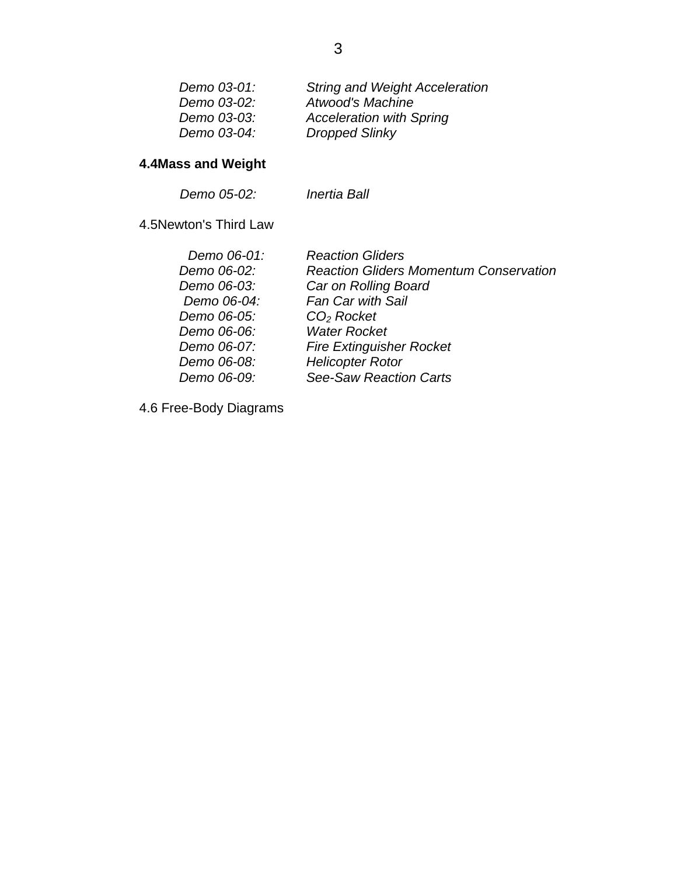| Demo 03-01: | <b>String and Weight Acceleration</b> |
|-------------|---------------------------------------|
| Demo 03-02: | Atwood's Machine                      |
| Demo 03-03: | <b>Acceleration with Spring</b>       |
| Demo 03-04: | <b>Dropped Slinky</b>                 |
|             |                                       |

# **4.4Mass and Weight**

 *Demo 05-02: Inertia Ball*

4.5Newton's Third Law

| Demo 06-01: | <b>Reaction Gliders</b>                       |
|-------------|-----------------------------------------------|
| Demo 06-02: | <b>Reaction Gliders Momentum Conservation</b> |
| Demo 06-03: | Car on Rolling Board                          |
| Demo 06-04: | Fan Car with Sail                             |
| Demo 06-05: | $CO2$ Rocket                                  |
| Demo 06-06: | <b>Water Rocket</b>                           |
| Demo 06-07: | <b>Fire Extinguisher Rocket</b>               |
| Demo 06-08: | <b>Helicopter Rotor</b>                       |
| Demo 06-09: | <b>See-Saw Reaction Carts</b>                 |
|             |                                               |

4.6 Free-Body Diagrams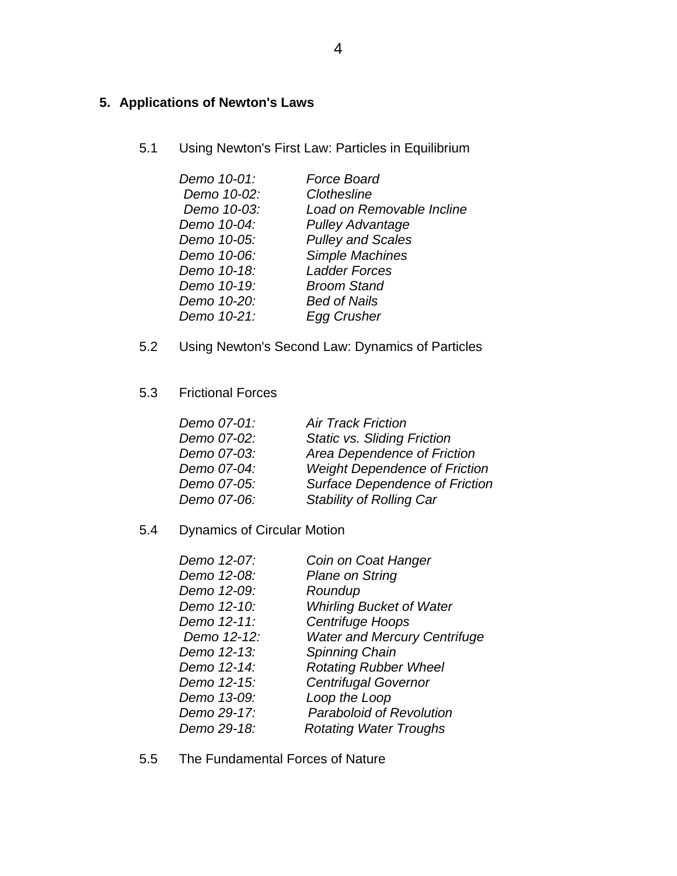## **5. Applications of Newton's Laws**

5.1 Using Newton's First Law: Particles in Equilibrium

| <b>Force Board</b>        |
|---------------------------|
| Clothesline               |
| Load on Removable Incline |
| <b>Pulley Advantage</b>   |
| <b>Pulley and Scales</b>  |
| Simple Machines           |
| <b>Ladder Forces</b>      |
| <b>Broom Stand</b>        |
| <b>Bed of Nails</b>       |
| Egg Crusher               |
|                           |

- 5.2 Using Newton's Second Law: Dynamics of Particles
- 5.3 Frictional Forces

| Demo 07-01: | <b>Air Track Friction</b>             |
|-------------|---------------------------------------|
| Demo 07-02: | <b>Static vs. Sliding Friction</b>    |
| Demo 07-03: | Area Dependence of Friction           |
| Demo 07-04: | <b>Weight Dependence of Friction</b>  |
| Demo 07-05: | <b>Surface Dependence of Friction</b> |
| Demo 07-06: | <b>Stability of Rolling Car</b>       |

5.4 Dynamics of Circular Motion

| Demo 12-07: | Coin on Coat Hanger                 |
|-------------|-------------------------------------|
| Demo 12-08: | Plane on String                     |
| Demo 12-09: | Roundup                             |
| Demo 12-10: | <b>Whirling Bucket of Water</b>     |
| Demo 12-11: | Centrifuge Hoops                    |
| Demo 12-12: | <b>Water and Mercury Centrifuge</b> |
| Demo 12-13: | Spinning Chain                      |
| Demo 12-14: | <b>Rotating Rubber Wheel</b>        |
| Demo 12-15: | <b>Centrifugal Governor</b>         |
| Demo 13-09: | Loop the Loop                       |
| Demo 29-17: | <b>Paraboloid of Revolution</b>     |
| Demo 29-18: | <b>Rotating Water Troughs</b>       |
|             |                                     |

5.5 The Fundamental Forces of Nature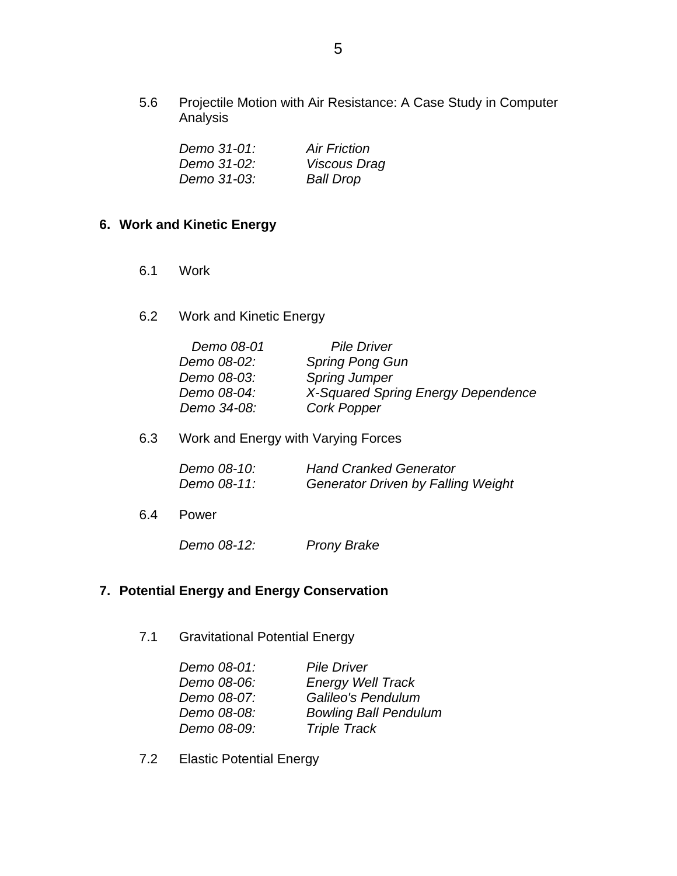5.6 Projectile Motion with Air Resistance: A Case Study in Computer Analysis

| Demo 31-01: | <b>Air Friction</b> |
|-------------|---------------------|
| Demo 31-02: | Viscous Drag        |
| Demo 31-03: | <b>Ball Drop</b>    |

### **6. Work and Kinetic Energy**

- 6.1 Work
- 6.2 Work and Kinetic Energy

| <b>Pile Driver</b>                 |
|------------------------------------|
| <b>Spring Pong Gun</b>             |
| <b>Spring Jumper</b>               |
| X-Squared Spring Energy Dependence |
| <b>Cork Popper</b>                 |
|                                    |

6.3 Work and Energy with Varying Forces

| Demo 08-10: | <b>Hand Cranked Generator</b>             |
|-------------|-------------------------------------------|
| Demo 08-11: | <b>Generator Driven by Falling Weight</b> |

6.4 Power

*Demo 08-12: Prony Brake* 

### **7. Potential Energy and Energy Conservation**

7.1 Gravitational Potential Energy

| <b>Pile Driver</b>           |
|------------------------------|
| <b>Energy Well Track</b>     |
| Galileo's Pendulum           |
| <b>Bowling Ball Pendulum</b> |
| <b>Triple Track</b>          |
|                              |

7.2 Elastic Potential Energy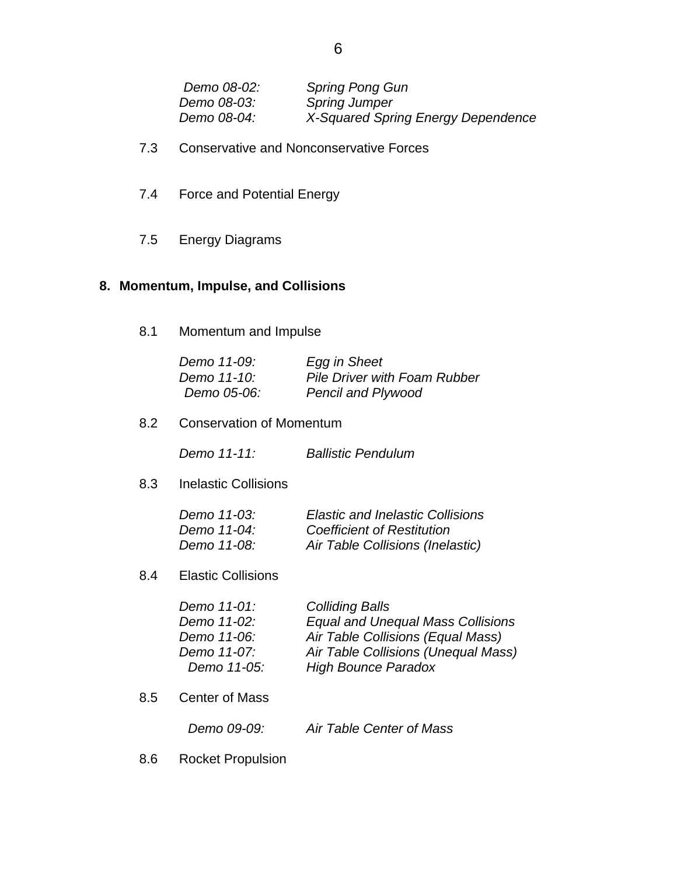| Demo 08-02: | <b>Spring Pong Gun</b>             |
|-------------|------------------------------------|
| Demo 08-03: | <b>Spring Jumper</b>               |
| Demo 08-04: | X-Squared Spring Energy Dependence |

- 7.3 Conservative and Nonconservative Forces
- 7.4 Force and Potential Energy
- 7.5 Energy Diagrams

### **8. Momentum, Impulse, and Collisions**

8.1 Momentum and Impulse

| Demo 11-09: | Egg in Sheet                        |
|-------------|-------------------------------------|
| Demo 11-10: | <b>Pile Driver with Foam Rubber</b> |
| Demo 05-06: | <b>Pencil and Plywood</b>           |

8.2 Conservation of Momentum

 *Demo 11-11: Ballistic Pendulum* 

8.3 Inelastic Collisions

| Demo 11-03: | <b>Elastic and Inelastic Collisions</b> |
|-------------|-----------------------------------------|
| Demo 11-04: | <b>Coefficient of Restitution</b>       |
| Demo 11-08: | Air Table Collisions (Inelastic)        |

#### 8.4 Elastic Collisions

| Demo 11-01: | <b>Colliding Balls</b>                   |
|-------------|------------------------------------------|
| Demo 11-02: | <b>Equal and Unequal Mass Collisions</b> |
| Demo 11-06: | Air Table Collisions (Equal Mass)        |
| Demo 11-07: | Air Table Collisions (Unequal Mass)      |
| Demo 11-05: | <b>High Bounce Paradox</b>               |

8.5 Center of Mass

8.6 Rocket Propulsion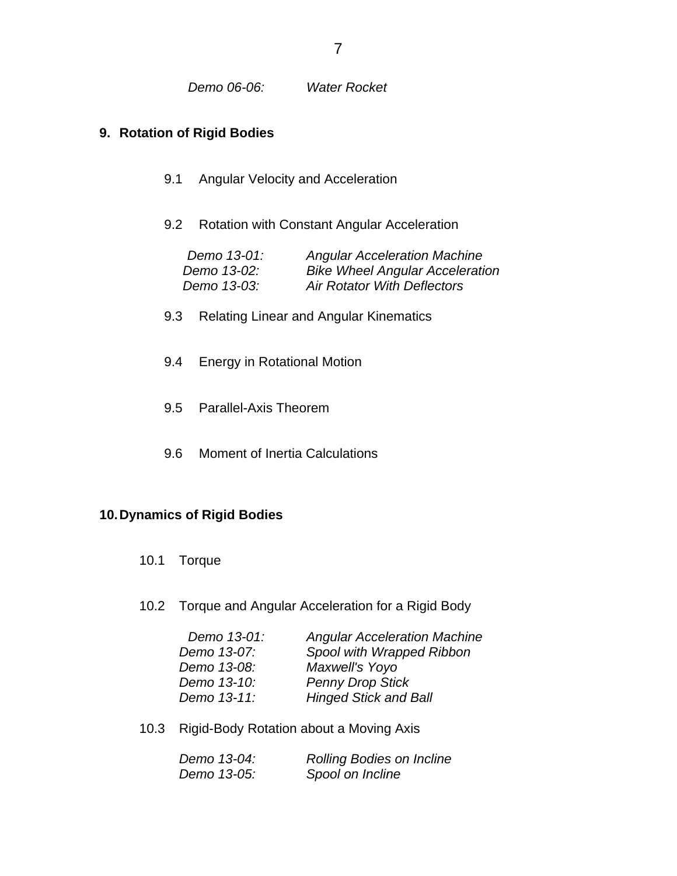### **9. Rotation of Rigid Bodies**

- 9.1 Angular Velocity and Acceleration
- 9.2 Rotation with Constant Angular Acceleration

| Demo 13-01: | <b>Angular Acceleration Machine</b>    |
|-------------|----------------------------------------|
| Demo 13-02: | <b>Bike Wheel Angular Acceleration</b> |
| Demo 13-03: | <b>Air Rotator With Deflectors</b>     |

- 9.3 Relating Linear and Angular Kinematics
- 9.4 Energy in Rotational Motion
- 9.5 Parallel-Axis Theorem
- 9.6 Moment of Inertia Calculations

### **10. Dynamics of Rigid Bodies**

- 10.1 Torque
- 10.2 Torque and Angular Acceleration for a Rigid Body

| Demo 13-01: | <b>Angular Acceleration Machine</b> |
|-------------|-------------------------------------|
| Demo 13-07: | Spool with Wrapped Ribbon           |
| Demo 13-08: | Maxwell's Yoyo                      |
| Demo 13-10: | <b>Penny Drop Stick</b>             |
| Demo 13-11: | <b>Hinged Stick and Ball</b>        |
|             |                                     |

10.3 Rigid-Body Rotation about a Moving Axis

| Demo 13-04: | <b>Rolling Bodies on Incline</b> |
|-------------|----------------------------------|
| Demo 13-05: | Spool on Incline                 |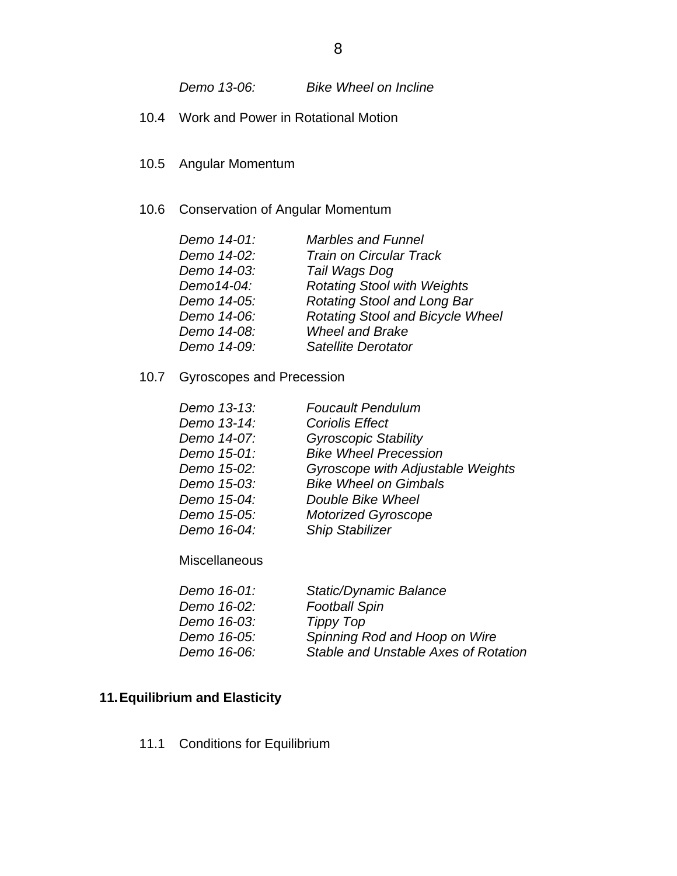*Demo 13-06: Bike Wheel on Incline* 

- 10.4 Work and Power in Rotational Motion
- 10.5 Angular Momentum
- 10.6 Conservation of Angular Momentum

| <b>Rotating Stool and Bicycle Wheel</b> |
|-----------------------------------------|
|                                         |
|                                         |
|                                         |

10.7 Gyroscopes and Precession

| Demo 13-13: | <b>Foucault Pendulum</b>          |
|-------------|-----------------------------------|
| Demo 13-14: | <b>Coriolis Effect</b>            |
| Demo 14-07: | <b>Gyroscopic Stability</b>       |
| Demo 15-01: | <b>Bike Wheel Precession</b>      |
| Demo 15-02: | Gyroscope with Adjustable Weights |
| Demo 15-03: | <b>Bike Wheel on Gimbals</b>      |
| Demo 15-04: | Double Bike Wheel                 |
| Demo 15-05: | <b>Motorized Gyroscope</b>        |
| Demo 16-04: | <b>Ship Stabilizer</b>            |

**Miscellaneous** 

| Demo 16-01: | <b>Static/Dynamic Balance</b>        |
|-------------|--------------------------------------|
| Demo 16-02: | <b>Football Spin</b>                 |
| Demo 16-03: | Tippy Top                            |
| Demo 16-05: | Spinning Rod and Hoop on Wire        |
| Demo 16-06: | Stable and Unstable Axes of Rotation |
|             |                                      |

## **11. Equilibrium and Elasticity**

11.1 Conditions for Equilibrium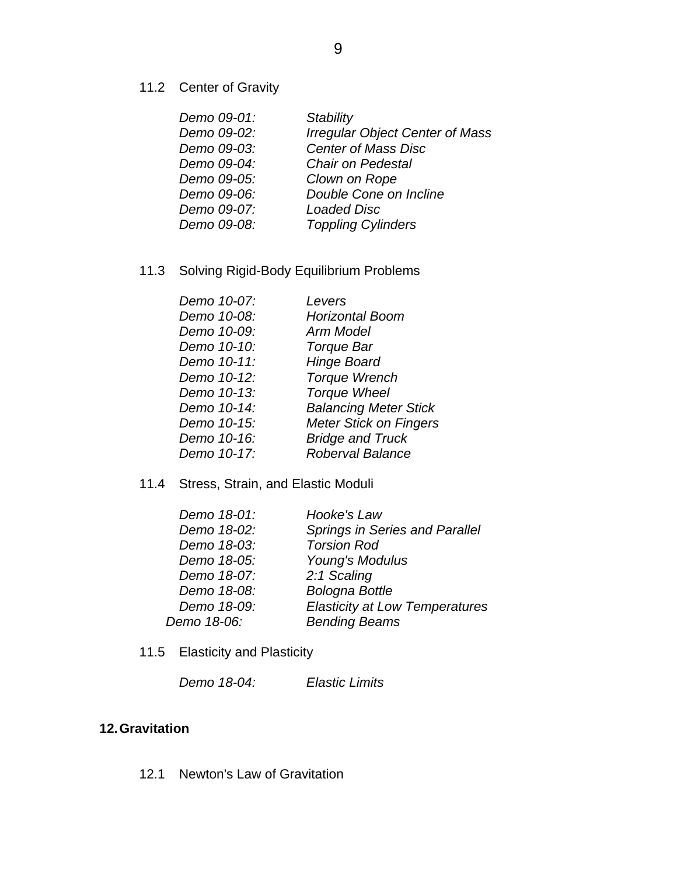11.2 Center of Gravity

| Demo 09-01: | Stability                              |
|-------------|----------------------------------------|
| Demo 09-02: | <b>Irregular Object Center of Mass</b> |
| Demo 09-03: | <b>Center of Mass Disc</b>             |
| Demo 09-04: | <b>Chair on Pedestal</b>               |
| Demo 09-05: | Clown on Rope                          |
| Demo 09-06: | Double Cone on Incline                 |
| Demo 09-07: | <b>Loaded Disc</b>                     |
| Demo 09-08: | <b>Toppling Cylinders</b>              |
|             |                                        |

## 11.3 Solving Rigid-Body Equilibrium Problems

| Demo 10-07: | Levers                        |
|-------------|-------------------------------|
| Demo 10-08: | <b>Horizontal Boom</b>        |
| Demo 10-09: | Arm Model                     |
| Demo 10-10: | <b>Torque Bar</b>             |
| Demo 10-11: | <b>Hinge Board</b>            |
| Demo 10-12: | <b>Torque Wrench</b>          |
| Demo 10-13: | <b>Torque Wheel</b>           |
| Demo 10-14: | <b>Balancing Meter Stick</b>  |
| Demo 10-15: | <b>Meter Stick on Fingers</b> |
| Demo 10-16: | <b>Bridge and Truck</b>       |
| Demo 10-17: | <b>Roberval Balance</b>       |
|             |                               |

### 11.4 Stress, Strain, and Elastic Moduli

| Demo 18-01: | Hooke's Law                           |
|-------------|---------------------------------------|
| Demo 18-02: | <b>Springs in Series and Parallel</b> |
| Demo 18-03: | <b>Torsion Rod</b>                    |
| Demo 18-05: | Young's Modulus                       |
| Demo 18-07: | 2:1 Scaling                           |
| Demo 18-08: | <b>Bologna Bottle</b>                 |
| Demo 18-09: | <b>Elasticity at Low Temperatures</b> |
| Demo 18-06: | <b>Bending Beams</b>                  |
|             |                                       |

11.5 Elasticity and Plasticity

| Demo 18-04: | <b>Elastic Limits</b> |
|-------------|-----------------------|
|-------------|-----------------------|

## **12. Gravitation**

12.1 Newton's Law of Gravitation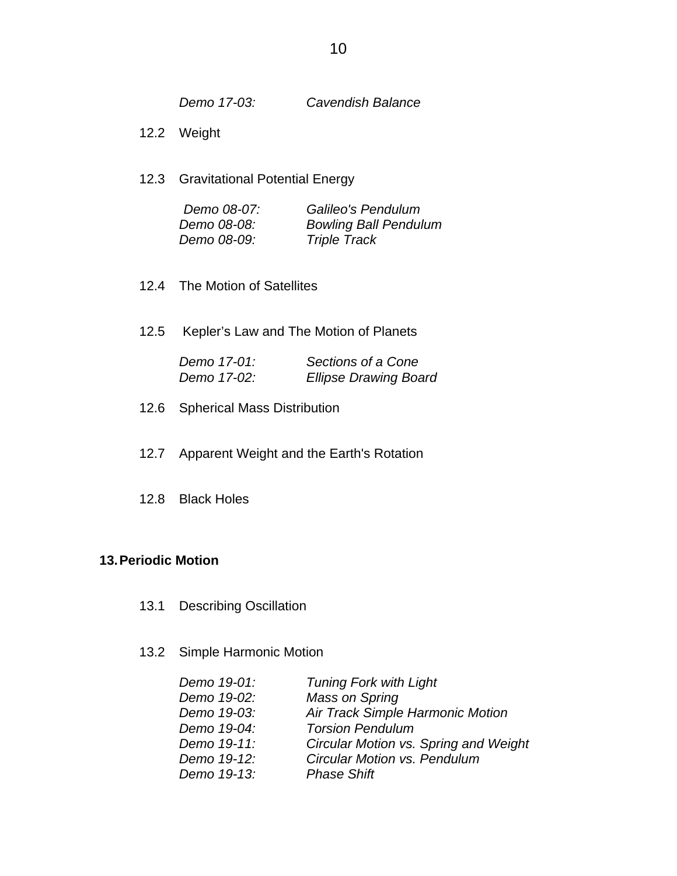*Demo 17-03: Cavendish Balance*

- 12.2 Weight
- 12.3 Gravitational Potential Energy

| Demo 08-07: | Galileo's Pendulum           |
|-------------|------------------------------|
| Demo 08-08: | <b>Bowling Ball Pendulum</b> |
| Demo 08-09: | <b>Triple Track</b>          |

- 12.4 The Motion of Satellites
- 12.5 Kepler's Law and The Motion of Planets

| Demo 17-01: | Sections of a Cone           |
|-------------|------------------------------|
| Demo 17-02: | <b>Ellipse Drawing Board</b> |

- 12.6 Spherical Mass Distribution
- 12.7 Apparent Weight and the Earth's Rotation
- 12.8 Black Holes

#### **13. Periodic Motion**

- 13.1 Describing Oscillation
- 13.2 Simple Harmonic Motion

| <b>Tuning Fork with Light</b>         |
|---------------------------------------|
| Mass on Spring                        |
| Air Track Simple Harmonic Motion      |
| <b>Torsion Pendulum</b>               |
| Circular Motion vs. Spring and Weight |
| <b>Circular Motion vs. Pendulum</b>   |
| <b>Phase Shift</b>                    |
|                                       |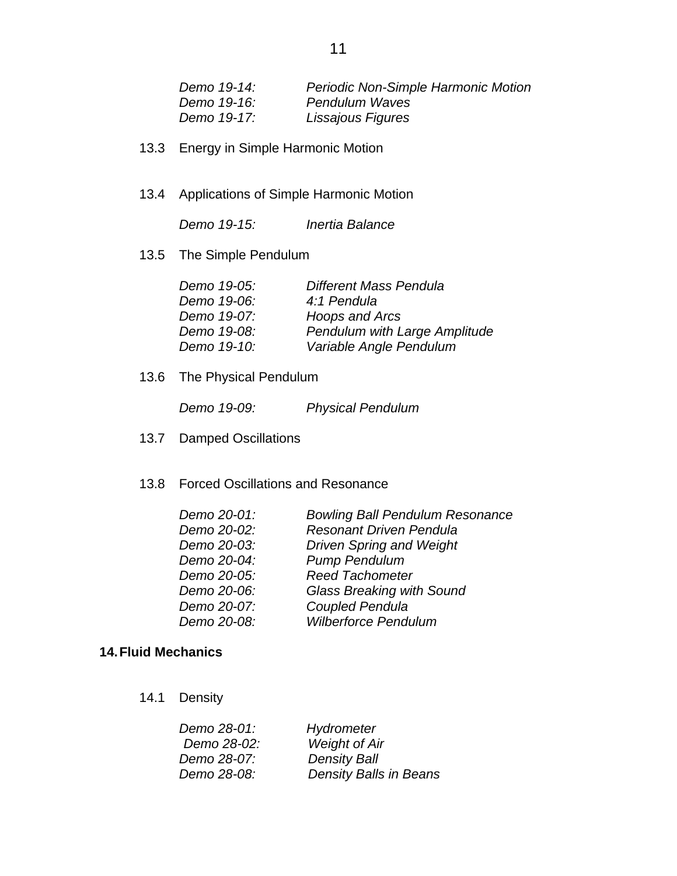| Demo 19-14: | Periodic Non-Simple Harmonic Motion |
|-------------|-------------------------------------|
| Demo 19-16: | Pendulum Waves                      |
| Demo 19-17: | Lissajous Figures                   |

- 13.3 Energy in Simple Harmonic Motion
- 13.4 Applications of Simple Harmonic Motion

 *Demo 19-15: Inertia Balance* 

13.5 The Simple Pendulum

| Demo 19-05: | Different Mass Pendula        |
|-------------|-------------------------------|
| Demo 19-06: | 4:1 Pendula                   |
| Demo 19-07: | Hoops and Arcs                |
| Demo 19-08: | Pendulum with Large Amplitude |
| Demo 19-10: | Variable Angle Pendulum       |
|             |                               |

13.6 The Physical Pendulum

 *Demo 19-09: Physical Pendulum* 

- 13.7 Damped Oscillations
- 13.8 Forced Oscillations and Resonance

| Demo 20-01: | <b>Bowling Ball Pendulum Resonance</b> |
|-------------|----------------------------------------|
| Demo 20-02: | <b>Resonant Driven Pendula</b>         |
| Demo 20-03: | <b>Driven Spring and Weight</b>        |
| Demo 20-04: | <b>Pump Pendulum</b>                   |
| Demo 20-05: | <b>Reed Tachometer</b>                 |
| Demo 20-06: | <b>Glass Breaking with Sound</b>       |
| Demo 20-07: | Coupled Pendula                        |
| Demo 20-08: | <b>Wilberforce Pendulum</b>            |

### **14. Fluid Mechanics**

14.1 Density

| Hydrometer                    |
|-------------------------------|
| <b>Weight of Air</b>          |
| <b>Density Ball</b>           |
| <b>Density Balls in Beans</b> |
|                               |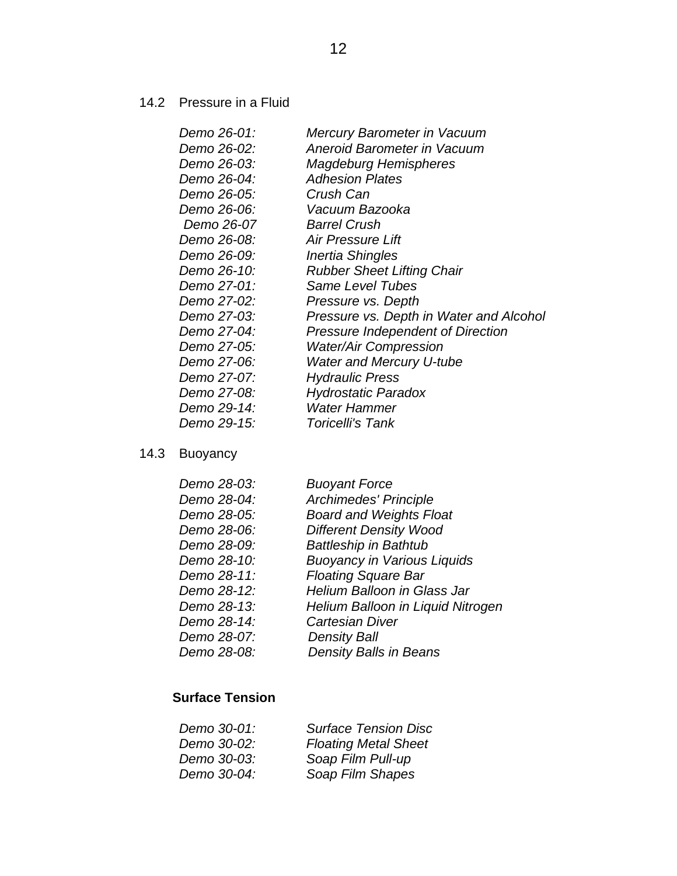14.2 Pressure in a Fluid

| Demo 26-01: | Mercury Barometer in Vacuum              |
|-------------|------------------------------------------|
| Demo 26-02: | Aneroid Barometer in Vacuum              |
| Demo 26-03: | <b>Magdeburg Hemispheres</b>             |
| Demo 26-04: | <b>Adhesion Plates</b>                   |
| Demo 26-05: | Crush Can                                |
| Demo 26-06: | Vacuum Bazooka                           |
| Demo 26-07  | <b>Barrel Crush</b>                      |
| Demo 26-08: | <b>Air Pressure Lift</b>                 |
| Demo 26-09: | Inertia Shingles                         |
| Demo 26-10: | <b>Rubber Sheet Lifting Chair</b>        |
| Demo 27-01: | <b>Same Level Tubes</b>                  |
| Demo 27-02: | Pressure vs. Depth                       |
| Demo 27-03: | Pressure vs. Depth in Water and Alcohol  |
| Demo 27-04: | <b>Pressure Independent of Direction</b> |
| Demo 27-05: | <b>Water/Air Compression</b>             |
| Demo 27-06: | <b>Water and Mercury U-tube</b>          |
| Demo 27-07: | <b>Hydraulic Press</b>                   |
| Demo 27-08: | <b>Hydrostatic Paradox</b>               |
| Demo 29-14: | <b>Water Hammer</b>                      |
| Demo 29-15: | <b>Toricelli's Tank</b>                  |
|             |                                          |

# 14.3 Buoyancy

| Demo 28-03: | <b>Buoyant Force</b>               |
|-------------|------------------------------------|
| Demo 28-04: | Archimedes' Principle              |
| Demo 28-05: | <b>Board and Weights Float</b>     |
| Demo 28-06: | <b>Different Density Wood</b>      |
| Demo 28-09: | <b>Battleship in Bathtub</b>       |
| Demo 28-10: | <b>Buoyancy in Various Liquids</b> |
| Demo 28-11: | <b>Floating Square Bar</b>         |
| Demo 28-12: | <b>Helium Balloon in Glass Jar</b> |
| Demo 28-13: | Helium Balloon in Liquid Nitrogen  |
| Demo 28-14: | <b>Cartesian Diver</b>             |
| Demo 28-07: | <b>Density Ball</b>                |
| Demo 28-08: | <b>Density Balls in Beans</b>      |
|             |                                    |

## **Surface Tension**

| Demo 30-01: | <b>Surface Tension Disc</b> |
|-------------|-----------------------------|
| Demo 30-02: | <b>Floating Metal Sheet</b> |
| Demo 30-03: | Soap Film Pull-up           |
| Demo 30-04: | Soap Film Shapes            |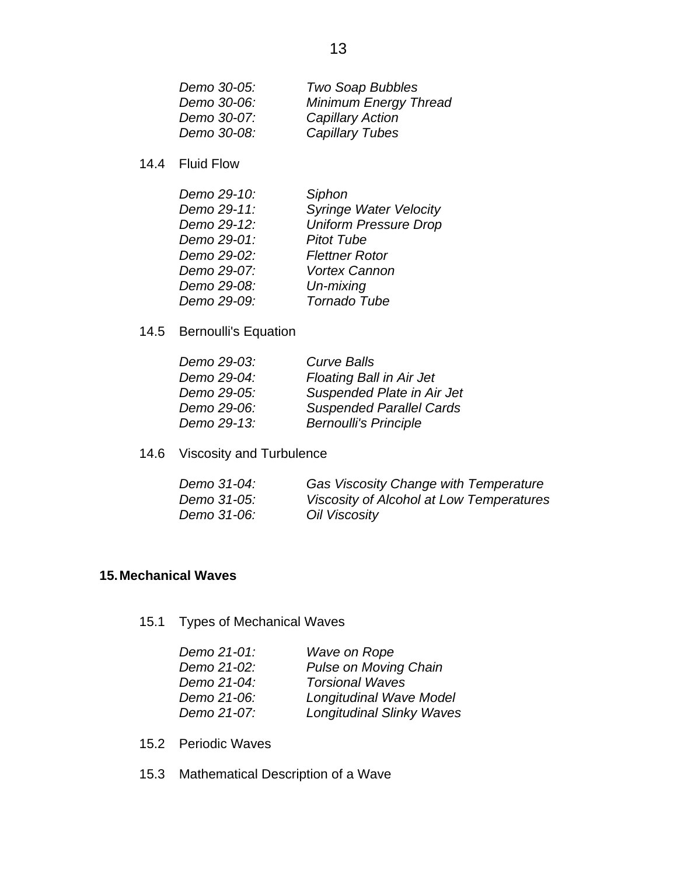| Demo 30-05: | <b>Two Soap Bubbles</b>      |
|-------------|------------------------------|
| Demo 30-06: | <b>Minimum Energy Thread</b> |
| Demo 30-07: | <b>Capillary Action</b>      |
| Demo 30-08: | <b>Capillary Tubes</b>       |

14.4 Fluid Flow

| Demo 29-10: | Siphon                        |
|-------------|-------------------------------|
| Demo 29-11: | <b>Syringe Water Velocity</b> |
| Demo 29-12: | <b>Uniform Pressure Drop</b>  |
| Demo 29-01: | <b>Pitot Tube</b>             |
| Demo 29-02: | <b>Flettner Rotor</b>         |
| Demo 29-07: | <b>Vortex Cannon</b>          |
| Demo 29-08: | Un-mixing                     |
| Demo 29-09: | Tornado Tube                  |

14.5 Bernoulli's Equation

| Demo 29-03: | <b>Curve Balls</b>              |
|-------------|---------------------------------|
| Demo 29-04: | <b>Floating Ball in Air Jet</b> |
| Demo 29-05: | Suspended Plate in Air Jet      |
| Demo 29-06: | <b>Suspended Parallel Cards</b> |
| Demo 29-13: | <b>Bernoulli's Principle</b>    |

14.6 Viscosity and Turbulence

| Demo 31-04: | <b>Gas Viscosity Change with Temperature</b> |
|-------------|----------------------------------------------|
| Demo 31-05: | Viscosity of Alcohol at Low Temperatures     |
| Demo 31-06: | Oil Viscosity                                |

### **15. Mechanical Waves**

15.1 Types of Mechanical Waves

| Wave on Rope                     |
|----------------------------------|
| <b>Pulse on Moving Chain</b>     |
| <b>Torsional Waves</b>           |
| <b>Longitudinal Wave Model</b>   |
| <b>Longitudinal Slinky Waves</b> |
|                                  |

- 15.2 Periodic Waves
- 15.3 Mathematical Description of a Wave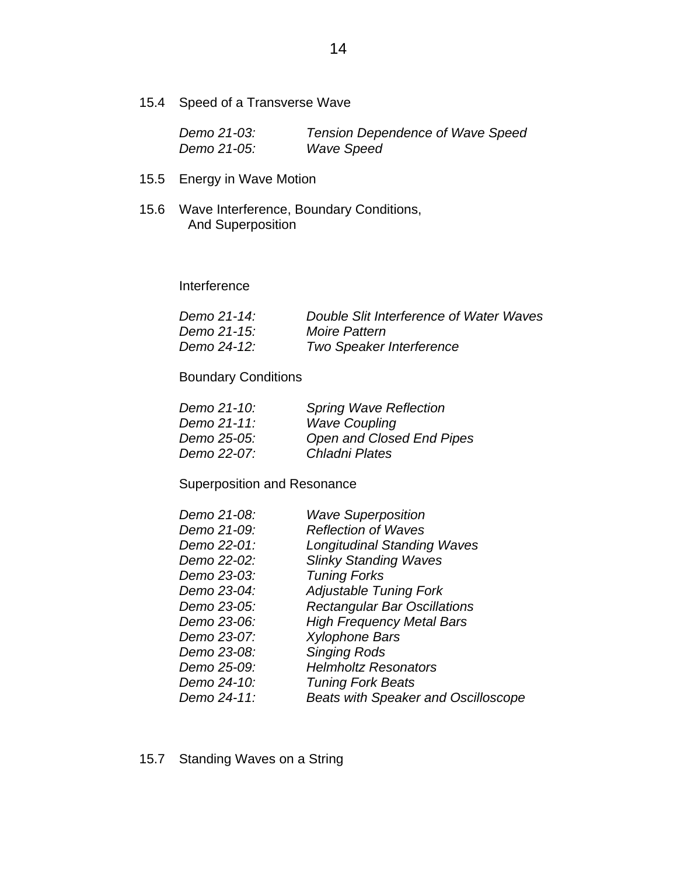15.4 Speed of a Transverse Wave

| Demo 21-03: | <b>Tension Dependence of Wave Speed</b> |
|-------------|-----------------------------------------|
| Demo 21-05: | <b>Wave Speed</b>                       |

- 15.5 Energy in Wave Motion
- 15.6 Wave Interference, Boundary Conditions, And Superposition

Interference

| Demo 21-14: | Double Slit Interference of Water Waves |
|-------------|-----------------------------------------|
| Demo 21-15: | <b>Moire Pattern</b>                    |
| Demo 24-12: | <b>Two Speaker Interference</b>         |

Boundary Conditions

| Demo 21-10: | <b>Spring Wave Reflection</b> |
|-------------|-------------------------------|
| Demo 21-11: | <b>Wave Coupling</b>          |
| Demo 25-05: | Open and Closed End Pipes     |
| Demo 22-07: | Chladni Plates                |

Superposition and Resonance

| Demo 21-08: | <b>Wave Superposition</b>                  |
|-------------|--------------------------------------------|
| Demo 21-09: | <b>Reflection of Waves</b>                 |
| Demo 22-01: | <b>Longitudinal Standing Waves</b>         |
| Demo 22-02: | <b>Slinky Standing Waves</b>               |
| Demo 23-03: | <b>Tuning Forks</b>                        |
| Demo 23-04: | <b>Adjustable Tuning Fork</b>              |
| Demo 23-05: | <b>Rectangular Bar Oscillations</b>        |
| Demo 23-06: | <b>High Frequency Metal Bars</b>           |
| Demo 23-07: | <b>Xylophone Bars</b>                      |
| Demo 23-08: | <b>Singing Rods</b>                        |
| Demo 25-09: | <b>Helmholtz Resonators</b>                |
| Demo 24-10: | <b>Tuning Fork Beats</b>                   |
| Demo 24-11: | <b>Beats with Speaker and Oscilloscope</b> |

15.7 Standing Waves on a String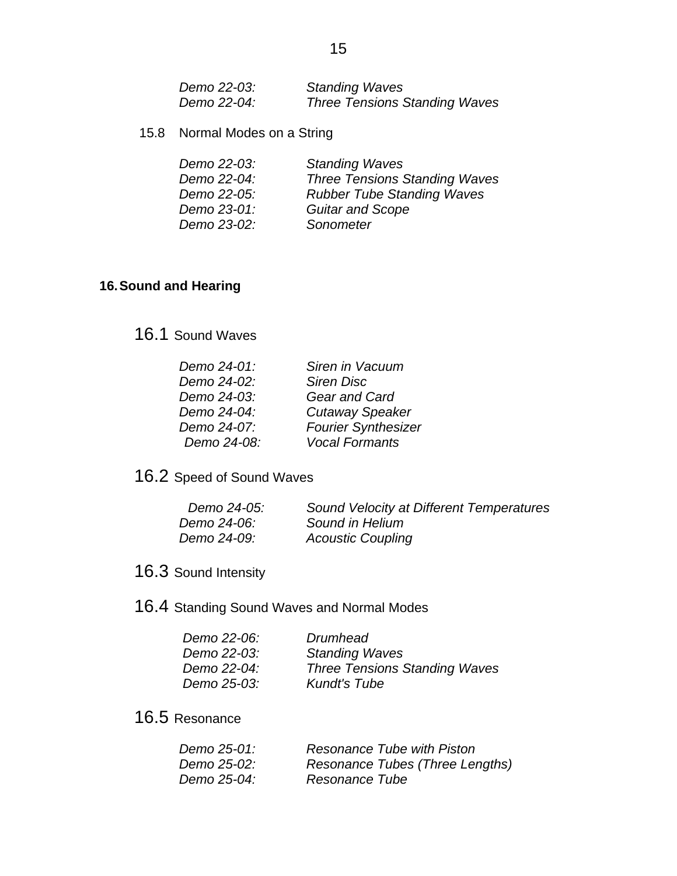| Demo 22-03: | <b>Standing Waves</b>                |
|-------------|--------------------------------------|
| Demo 22-04: | <b>Three Tensions Standing Waves</b> |

15.8 Normal Modes on a String

| Demo 22-03: | <b>Standing Waves</b>                |
|-------------|--------------------------------------|
| Demo 22-04: | <b>Three Tensions Standing Waves</b> |
| Demo 22-05: | <b>Rubber Tube Standing Waves</b>    |
| Demo 23-01: | <b>Guitar and Scope</b>              |
| Demo 23-02: | Sonometer                            |

### **16. Sound and Hearing**

## 16.1 Sound Waves

| Demo 24-01: | Siren in Vacuum            |
|-------------|----------------------------|
| Demo 24-02: | <b>Siren Disc</b>          |
| Demo 24-03: | <b>Gear and Card</b>       |
| Demo 24-04: | <b>Cutaway Speaker</b>     |
| Demo 24-07: | <b>Fourier Synthesizer</b> |
| Demo 24-08: | <b>Vocal Formants</b>      |

# 16.2 Speed of Sound Waves

| Demo 24-05: | Sound Velocity at Different Temperatures |
|-------------|------------------------------------------|
| Demo 24-06: | Sound in Helium                          |
| Demo 24-09: | <b>Acoustic Coupling</b>                 |

# 16.3 Sound Intensity

## 16.4 Standing Sound Waves and Normal Modes

| Drumhead                             |
|--------------------------------------|
| <b>Standing Waves</b>                |
| <b>Three Tensions Standing Waves</b> |
| <b>Kundt's Tube</b>                  |
|                                      |

## 16.5 Resonance

| Demo 25-01:        | Resonance Tube with Piston      |
|--------------------|---------------------------------|
| <i>Demo 25-02:</i> | Resonance Tubes (Three Lengths) |
| Demo 25-04:        | Resonance Tube                  |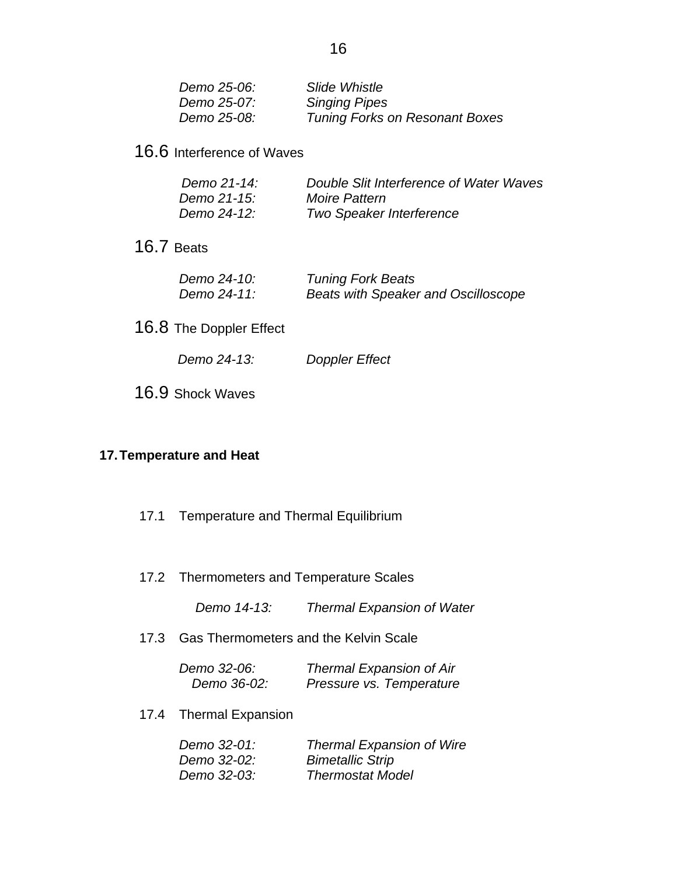| Demo 25-06: | Slide Whistle                         |
|-------------|---------------------------------------|
| Demo 25-07: | <b>Singing Pipes</b>                  |
| Demo 25-08: | <b>Tuning Forks on Resonant Boxes</b> |

16.6 Interference of Waves

| Demo 21-14: | Double Slit Interference of Water Waves |
|-------------|-----------------------------------------|
| Demo 21-15: | <b>Moire Pattern</b>                    |
| Demo 24-12: | <b>Two Speaker Interference</b>         |

16.7 Beats

| Demo 24-10: | <b>Tuning Fork Beats</b>            |
|-------------|-------------------------------------|
| Demo 24-11: | Beats with Speaker and Oscilloscope |

- 16.8 The Doppler Effect
	- *Demo 24-13: Doppler Effect*
- 16.9 Shock Waves

### **17. Temperature and Heat**

- 17.1 Temperature and Thermal Equilibrium
- 17.2 Thermometers and Temperature Scales

 *Demo 14-13: Thermal Expansion of Water*

17.3 Gas Thermometers and the Kelvin Scale

| Demo 32-06: | <b>Thermal Expansion of Air</b> |
|-------------|---------------------------------|
| Demo 36-02: | Pressure vs. Temperature        |

17.4 Thermal Expansion

| Demo 32-01: | <b>Thermal Expansion of Wire</b> |
|-------------|----------------------------------|
| Demo 32-02: | <b>Bimetallic Strip</b>          |
| Demo 32-03: | <b>Thermostat Model</b>          |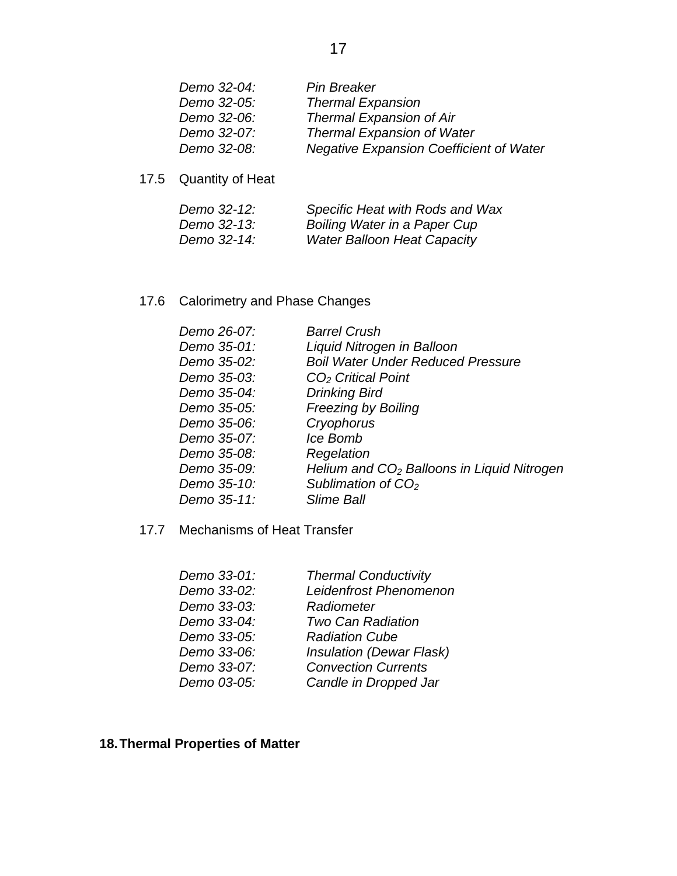| Demo 32-04: | Pin Breaker                                    |
|-------------|------------------------------------------------|
| Demo 32-05: | <b>Thermal Expansion</b>                       |
| Demo 32-06: | <b>Thermal Expansion of Air</b>                |
| Demo 32-07: | <b>Thermal Expansion of Water</b>              |
| Demo 32-08: | <b>Negative Expansion Coefficient of Water</b> |

17.5 Quantity of Heat

| Demo 32-12: | Specific Heat with Rods and Wax    |
|-------------|------------------------------------|
| Demo 32-13: | Boiling Water in a Paper Cup       |
| Demo 32-14: | <b>Water Balloon Heat Capacity</b> |

17.6 Calorimetry and Phase Changes

| Demo 26-07: | <b>Barrel Crush</b>                          |
|-------------|----------------------------------------------|
| Demo 35-01: | Liquid Nitrogen in Balloon                   |
| Demo 35-02: | <b>Boil Water Under Reduced Pressure</b>     |
| Demo 35-03: | $CO2$ Critical Point                         |
| Demo 35-04: | <b>Drinking Bird</b>                         |
| Demo 35-05: | <b>Freezing by Boiling</b>                   |
| Demo 35-06: | Cryophorus                                   |
| Demo 35-07: | Ice Bomb                                     |
| Demo 35-08: | Regelation                                   |
| Demo 35-09: | Helium and $CO2$ Balloons in Liquid Nitrogen |
| Demo 35-10: | Sublimation of $CO2$                         |
| Demo 35-11: | Slime Ball                                   |

17.7 Mechanisms of Heat Transfer

| <b>Thermal Conductivity</b>     |
|---------------------------------|
| Leidenfrost Phenomenon          |
| Radiometer                      |
| <b>Two Can Radiation</b>        |
| <b>Radiation Cube</b>           |
| <b>Insulation (Dewar Flask)</b> |
| <b>Convection Currents</b>      |
| Candle in Dropped Jar           |
|                                 |

## **18. Thermal Properties of Matter**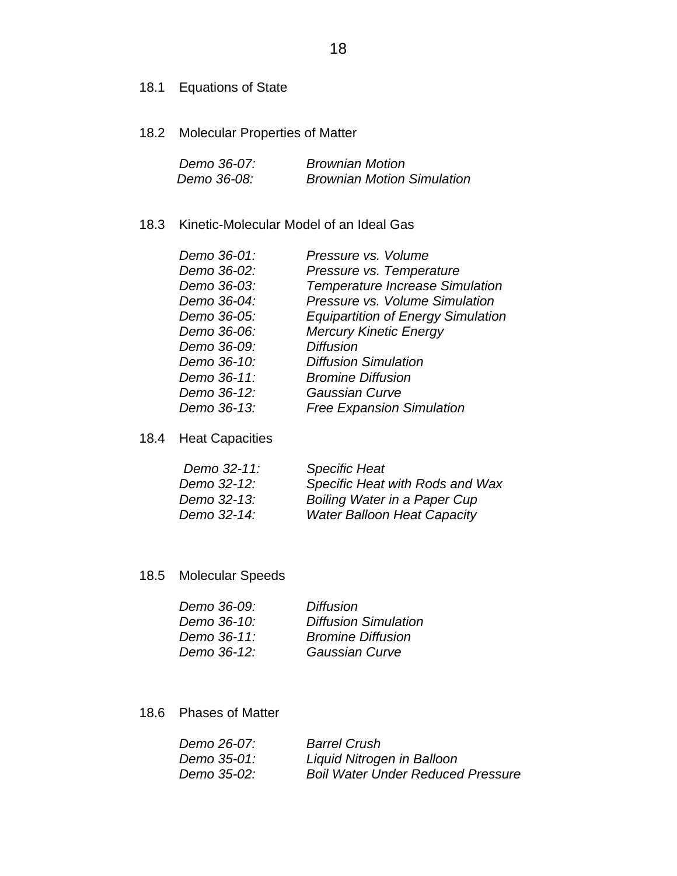- 18.1 Equations of State
- 18.2 Molecular Properties of Matter

| Demo 36-07: | <b>Brownian Motion</b>            |
|-------------|-----------------------------------|
| Demo 36-08: | <b>Brownian Motion Simulation</b> |

### 18.3 Kinetic-Molecular Model of an Ideal Gas

| Demo 36-01: | Pressure vs. Volume                       |
|-------------|-------------------------------------------|
| Demo 36-02: | Pressure vs. Temperature                  |
| Demo 36-03: | Temperature Increase Simulation           |
| Demo 36-04: | Pressure vs. Volume Simulation            |
| Demo 36-05: | <b>Equipartition of Energy Simulation</b> |
| Demo 36-06: | <b>Mercury Kinetic Energy</b>             |
| Demo 36-09: | <b>Diffusion</b>                          |
| Demo 36-10: | <b>Diffusion Simulation</b>               |
| Demo 36-11: | <b>Bromine Diffusion</b>                  |
| Demo 36-12: | <b>Gaussian Curve</b>                     |
| Demo 36-13: | <b>Free Expansion Simulation</b>          |
|             |                                           |

18.4 Heat Capacities

| Demo 32-11: | <b>Specific Heat</b>               |
|-------------|------------------------------------|
| Demo 32-12: | Specific Heat with Rods and Wax    |
| Demo 32-13: | Boiling Water in a Paper Cup       |
| Demo 32-14: | <b>Water Balloon Heat Capacity</b> |

18.5 Molecular Speeds

| <b>Diffusion</b>            |
|-----------------------------|
| <b>Diffusion Simulation</b> |
| <b>Bromine Diffusion</b>    |
| Gaussian Curve              |
|                             |

18.6 Phases of Matter

| Demo 26-07:        | <b>Barrel Crush</b>                      |
|--------------------|------------------------------------------|
| <i>Demo 35-01:</i> | Liquid Nitrogen in Balloon               |
| Demo 35-02:        | <b>Boil Water Under Reduced Pressure</b> |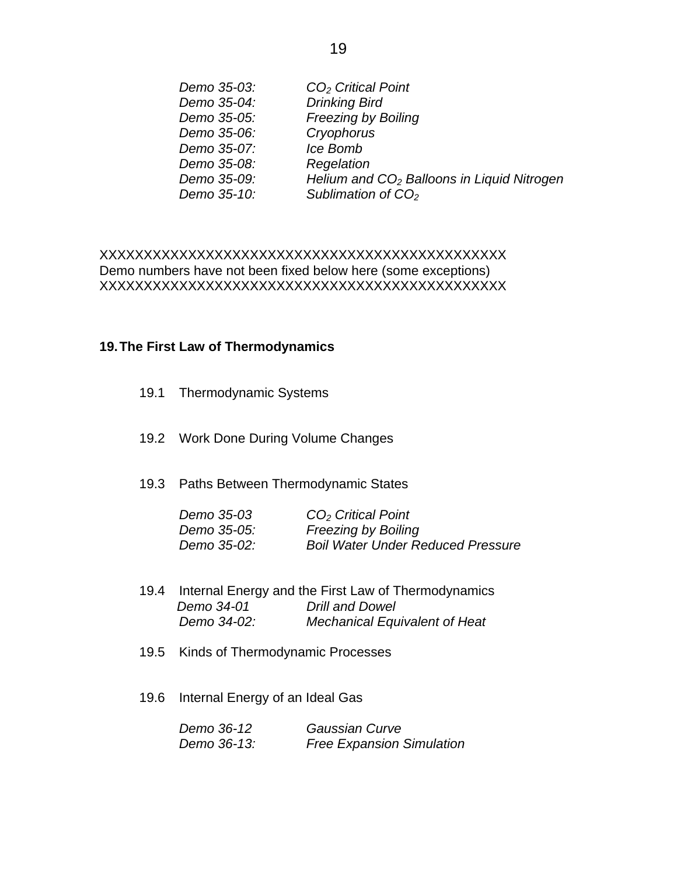| Demo 35-03: | CO <sub>2</sub> Critical Point                         |
|-------------|--------------------------------------------------------|
| Demo 35-04: | <b>Drinking Bird</b>                                   |
| Demo 35-05: | <b>Freezing by Boiling</b>                             |
| Demo 35-06: | Cryophorus                                             |
| Demo 35-07: | Ice Bomb                                               |
| Demo 35-08: | Regelation                                             |
| Demo 35-09: | Helium and CO <sub>2</sub> Balloons in Liquid Nitrogen |
| Demo 35-10: | Sublimation of $CO2$                                   |
|             |                                                        |

### XXXXXXXXXXXXXXXXXXXXXXXXXXXXXXXXXXXXXXXXXXXXXX Demo numbers have not been fixed below here (some exceptions) XXXXXXXXXXXXXXXXXXXXXXXXXXXXXXXXXXXXXXXXXXXXXX

#### **19. The First Law of Thermodynamics**

- 19.1 Thermodynamic Systems
- 19.2 Work Done During Volume Changes
- 19.3 Paths Between Thermodynamic States

| Demo 35-03         | CO <sub>2</sub> Critical Point           |
|--------------------|------------------------------------------|
| <i>Demo 35-05:</i> | <b>Freezing by Boiling</b>               |
| Demo 35-02:        | <b>Boil Water Under Reduced Pressure</b> |

- 19.4 Internal Energy and the First Law of Thermodynamics  *Demo 34-01 Drill and Dowel Demo 34-02: Mechanical Equivalent of Heat*
- 19.5 Kinds of Thermodynamic Processes
- 19.6 Internal Energy of an Ideal Gas

| Demo 36-12  | Gaussian Curve                   |
|-------------|----------------------------------|
| Demo 36-13: | <b>Free Expansion Simulation</b> |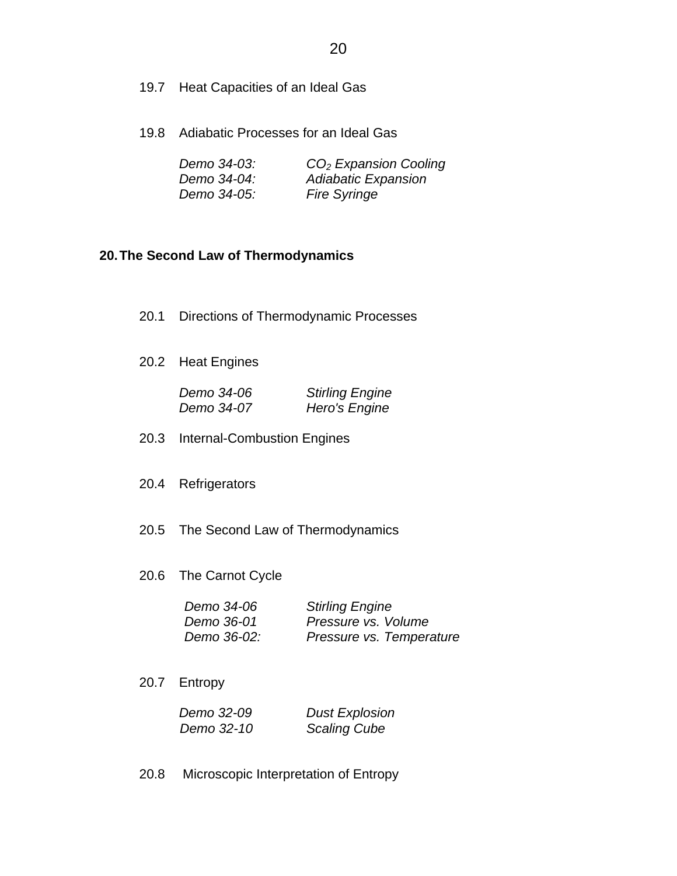- 19.7 Heat Capacities of an Ideal Gas
- 19.8 Adiabatic Processes for an Ideal Gas

| Demo 34-03: | $CO2$ Expansion Cooling |
|-------------|-------------------------|
| Demo 34-04: | Adiabatic Expansion     |
| Demo 34-05: | <b>Fire Syringe</b>     |

### **20. The Second Law of Thermodynamics**

| 20.1 Directions of Thermodynamic Processes |                                                                           |
|--------------------------------------------|---------------------------------------------------------------------------|
| 20.2 Heat Engines                          |                                                                           |
| <i>Demo 34-06</i><br><i>Demo 34-07</i>     | <b>Stirling Engine</b><br>Hero's Engine                                   |
| 20.3 Internal-Combustion Engines           |                                                                           |
| 20.4 Refrigerators                         |                                                                           |
| 20.5 The Second Law of Thermodynamics      |                                                                           |
| 20.6 The Carnot Cycle                      |                                                                           |
| Demo 34-06<br>Demo 36-01<br>Demo 36-02:    | <b>Stirling Engine</b><br>Pressure vs. Volume<br>Pressure vs. Temperature |
| 20.7 Entropy                               |                                                                           |
| Demo 32-09<br>Demo 32-10                   | <b>Dust Explosion</b><br><b>Scaling Cube</b>                              |

20.8 Microscopic Interpretation of Entropy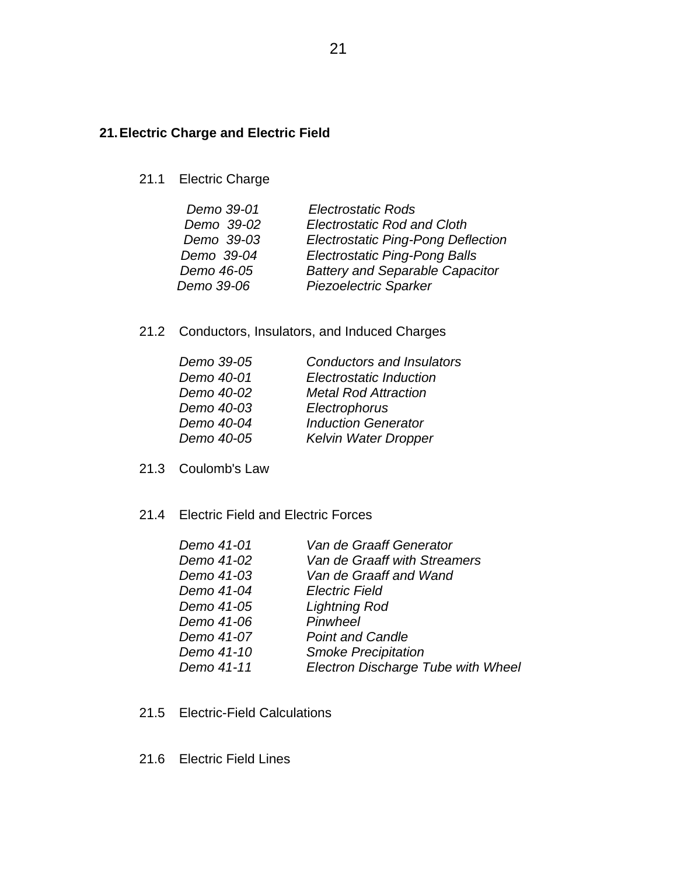### **21. Electric Charge and Electric Field**

21.1 Electric Charge

| <b>Electrostatic Rods</b>                 |
|-------------------------------------------|
| <b>Electrostatic Rod and Cloth</b>        |
| <b>Electrostatic Ping-Pong Deflection</b> |
| <b>Electrostatic Ping-Pong Balls</b>      |
| <b>Battery and Separable Capacitor</b>    |
| <b>Piezoelectric Sparker</b>              |
|                                           |

21.2 Conductors, Insulators, and Induced Charges

| Demo 39-05 | Conductors and Insulators   |
|------------|-----------------------------|
| Demo 40-01 | Electrostatic Induction     |
| Demo 40-02 | <b>Metal Rod Attraction</b> |
| Demo 40-03 | Electrophorus               |
| Demo 40-04 | <b>Induction Generator</b>  |
| Demo 40-05 | <b>Kelvin Water Dropper</b> |

- 21.3 Coulomb's Law
- 21.4 Electric Field and Electric Forces

| Demo 41-01 | Van de Graaff Generator            |
|------------|------------------------------------|
| Demo 41-02 | Van de Graaff with Streamers       |
| Demo 41-03 | Van de Graaff and Wand             |
| Demo 41-04 | <b>Electric Field</b>              |
| Demo 41-05 | <b>Lightning Rod</b>               |
| Demo 41-06 | Pinwheel                           |
| Demo 41-07 | <b>Point and Candle</b>            |
| Demo 41-10 | <b>Smoke Precipitation</b>         |
| Demo 41-11 | Electron Discharge Tube with Wheel |
|            |                                    |

- 21.5 Electric-Field Calculations
- 21.6 Electric Field Lines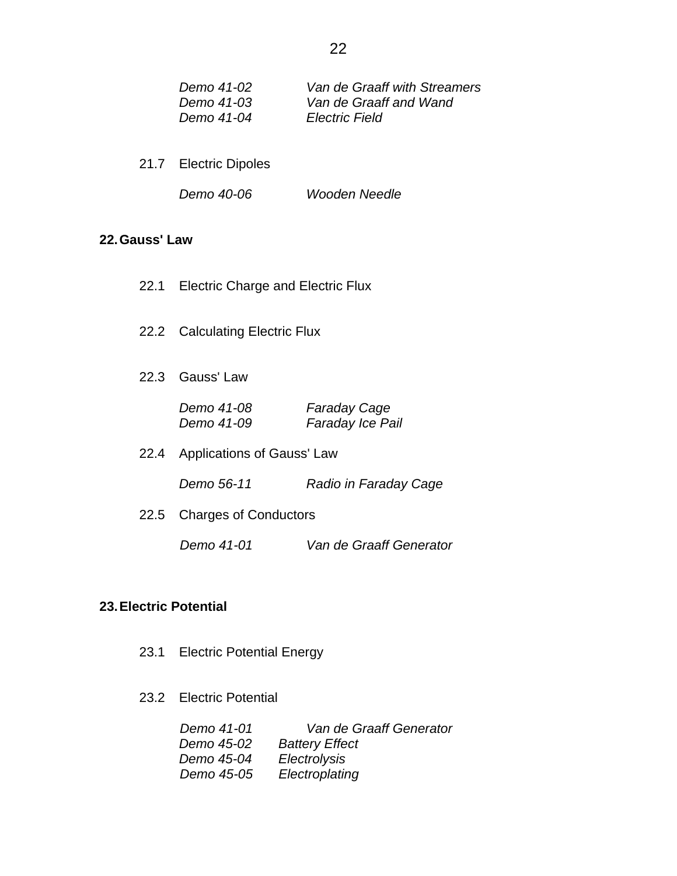| Demo 41-02 | Van de Graaff with Streamers |
|------------|------------------------------|
| Demo 41-03 | Van de Graaff and Wand       |
| Demo 41-04 | <b>Electric Field</b>        |

- 21.7 Electric Dipoles
	- *Demo 40-06 Wooden Needle*

### **22. Gauss' Law**

- 22.1 Electric Charge and Electric Flux
- 22.2 Calculating Electric Flux
- 22.3 Gauss' Law

| Demo 41-08 | <b>Faraday Cage</b> |
|------------|---------------------|
| Demo 41-09 | Faraday Ice Pail    |

22.4 Applications of Gauss' Law

 *Demo 56-11 Radio in Faraday Cage*

22.5 Charges of Conductors

 *Demo 41-01 Van de Graaff Generator*

#### **23. Electric Potential**

- 23.1 Electric Potential Energy
- 23.2 Electric Potential

| Demo 41-01 | Van de Graaff Generator |
|------------|-------------------------|
| Demo 45-02 | <b>Battery Effect</b>   |
| Demo 45-04 | Electrolysis            |
| Demo 45-05 | Electroplating          |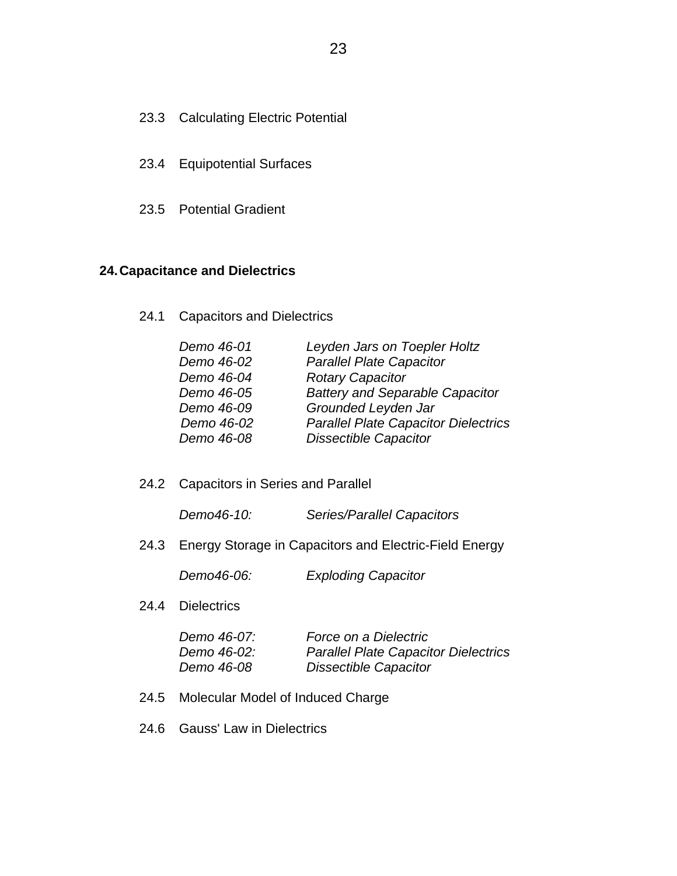### 23.3 Calculating Electric Potential

- 23.4 Equipotential Surfaces
- 23.5 Potential Gradient

### **24. Capacitance and Dielectrics**

24.1 Capacitors and Dielectrics

| Demo 46-01 | Leyden Jars on Toepler Holtz                |
|------------|---------------------------------------------|
| Demo 46-02 | <b>Parallel Plate Capacitor</b>             |
| Demo 46-04 | <b>Rotary Capacitor</b>                     |
| Demo 46-05 | <b>Battery and Separable Capacitor</b>      |
| Demo 46-09 | Grounded Leyden Jar                         |
| Demo 46-02 | <b>Parallel Plate Capacitor Dielectrics</b> |
| Demo 46-08 | <b>Dissectible Capacitor</b>                |

24.2 Capacitors in Series and Parallel

*Demo46-10: Series/Parallel Capacitors* 

24.3 Energy Storage in Capacitors and Electric-Field Energy

*Demo46-06: Exploding Capacitor* 

#### 24.4 Dielectrics

| <i>Demo 46-07:</i> | Force on a Dielectric                       |
|--------------------|---------------------------------------------|
| <i>Demo 46-02:</i> | <b>Parallel Plate Capacitor Dielectrics</b> |
| <i>Demo 46-08</i>  | <b>Dissectible Capacitor</b>                |

- 24.5 Molecular Model of Induced Charge
- 24.6 Gauss' Law in Dielectrics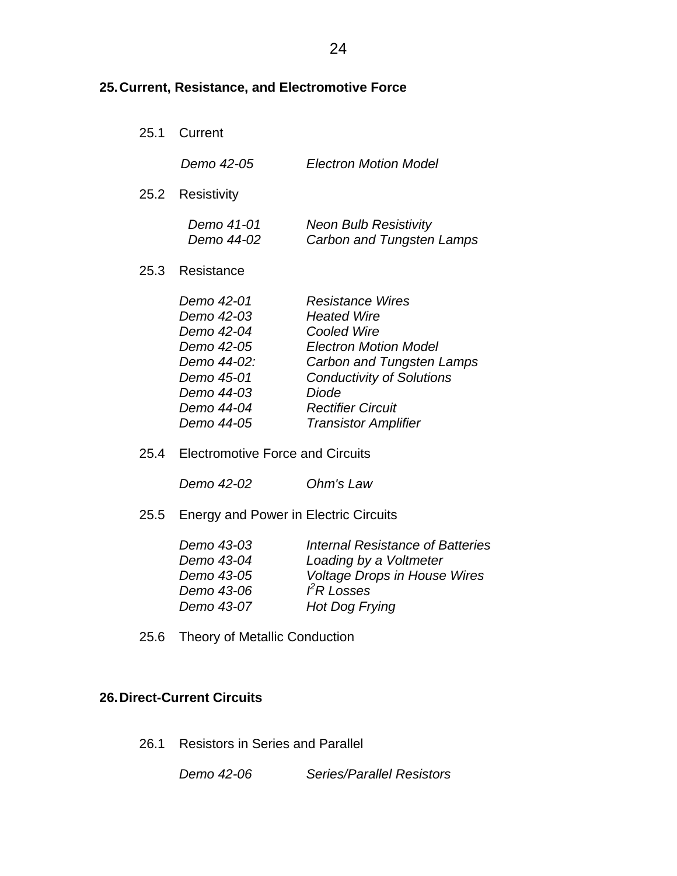## **25. Current, Resistance, and Electromotive Force**

25.1 Current

|      | Demo 42-05                                                                                                                                              | <b>Electron Motion Model</b>                                                                                                                                                                                               |
|------|---------------------------------------------------------------------------------------------------------------------------------------------------------|----------------------------------------------------------------------------------------------------------------------------------------------------------------------------------------------------------------------------|
|      | 25.2 Resistivity                                                                                                                                        |                                                                                                                                                                                                                            |
|      | <i>Demo 41-01</i><br><i>Demo 44-02</i>                                                                                                                  | <b>Neon Bulb Resistivity</b><br>Carbon and Tungsten Lamps                                                                                                                                                                  |
| 25.3 | Resistance                                                                                                                                              |                                                                                                                                                                                                                            |
|      | Demo 42-01<br><i>Demo 42-03</i><br>Demo 42-04<br><i>Demo 42-05</i><br><i>Demo 44-02:</i><br>Demo 45-01<br>Demo 44-03<br><i>Demo 44-04</i><br>Demo 44-05 | Resistance Wires<br><b>Heated Wire</b><br>Cooled Wire<br><b>Electron Motion Model</b><br>Carbon and Tungsten Lamps<br><b>Conductivity of Solutions</b><br>Diode<br><b>Rectifier Circuit</b><br><b>Transistor Amplifier</b> |

25.4 Electromotive Force and Circuits

 *Demo 42-02 Ohm's Law* 

25.5 Energy and Power in Electric Circuits

| <b>Voltage Drops in House Wires</b> |
|-------------------------------------|
|                                     |
|                                     |
|                                     |

25.6 Theory of Metallic Conduction

### **26. Direct-Current Circuits**

26.1 Resistors in Series and Parallel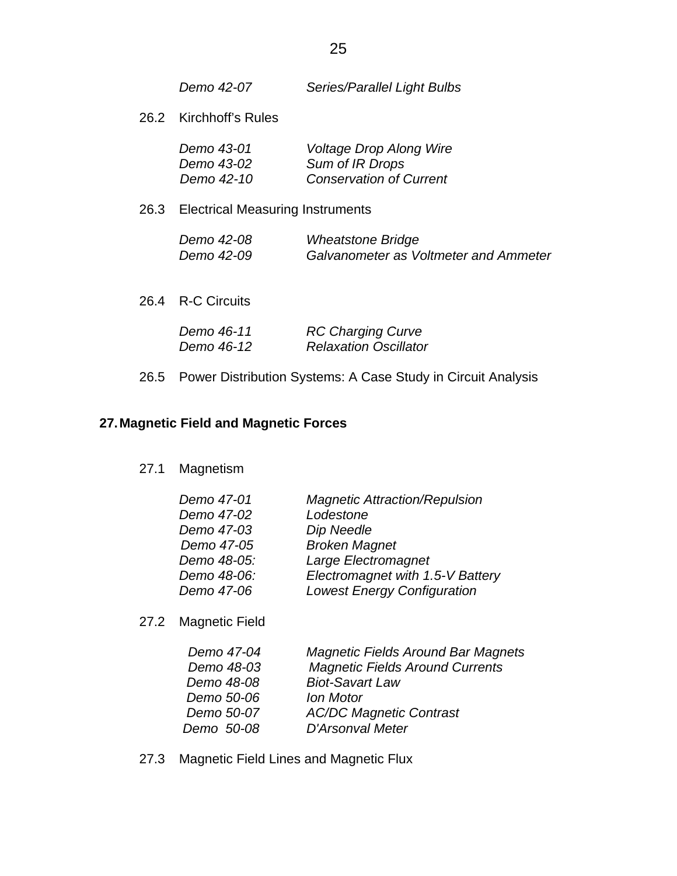| Demo 42-07 | Series/Parallel Light Bulbs |
|------------|-----------------------------|
|------------|-----------------------------|

26.2 Kirchhoff's Rules

| Demo 43-01 | <b>Voltage Drop Along Wire</b> |
|------------|--------------------------------|
| Demo 43-02 | Sum of IR Drops                |
| Demo 42-10 | <b>Conservation of Current</b> |

26.3 Electrical Measuring Instruments

| <i>Demo 42-08</i> | <b>Wheatstone Bridge</b>                     |
|-------------------|----------------------------------------------|
| <i>Demo 42-09</i> | <b>Galvanometer as Voltmeter and Ammeter</b> |

26.4 R-C Circuits

| Demo 46-11 | <b>RC Charging Curve</b>     |
|------------|------------------------------|
| Demo 46-12 | <b>Relaxation Oscillator</b> |

26.5 Power Distribution Systems: A Case Study in Circuit Analysis

## **27. Magnetic Field and Magnetic Forces**

27.1 Magnetism

| Demo 47-01  | <b>Magnetic Attraction/Repulsion</b> |
|-------------|--------------------------------------|
| Demo 47-02  | Lodestone                            |
| Demo 47-03  | Dip Needle                           |
| Demo 47-05  | <b>Broken Magnet</b>                 |
| Demo 48-05: | Large Electromagnet                  |
| Demo 48-06: | Electromagnet with 1.5-V Battery     |
| Demo 47-06  | <b>Lowest Energy Configuration</b>   |
|             |                                      |

27.2 Magnetic Field

| Demo 47-04 | <b>Magnetic Fields Around Bar Magnets</b> |
|------------|-------------------------------------------|
| Demo 48-03 | <b>Magnetic Fields Around Currents</b>    |
| Demo 48-08 | <b>Biot-Savart Law</b>                    |
| Demo 50-06 | <b>Ion Motor</b>                          |
| Demo 50-07 | <b>AC/DC Magnetic Contrast</b>            |
| Demo 50-08 | D'Arsonval Meter                          |

27.3 Magnetic Field Lines and Magnetic Flux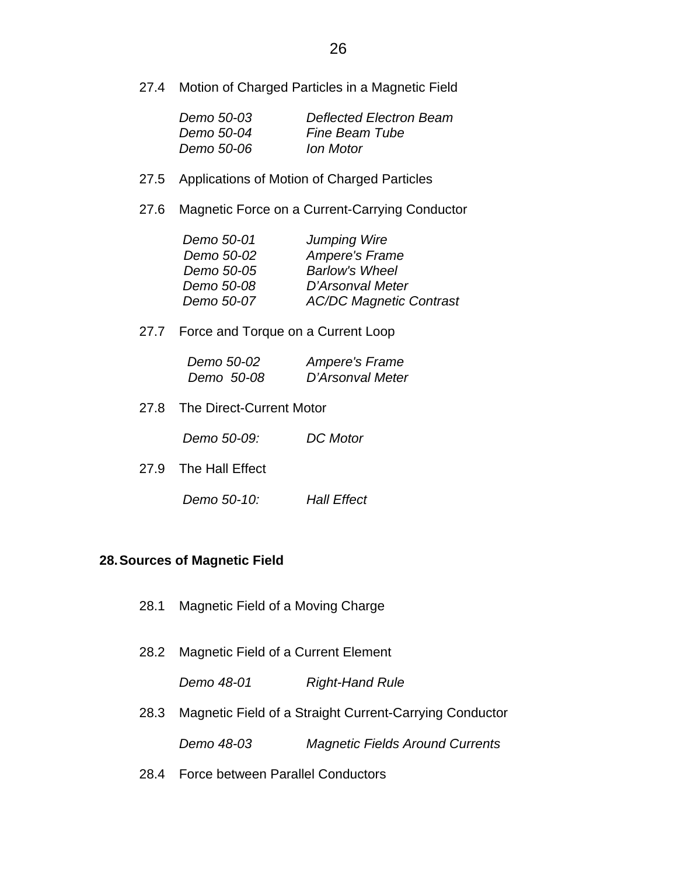27.4 Motion of Charged Particles in a Magnetic Field

| Demo 50-03        | Deflected Electron Beam |
|-------------------|-------------------------|
| Demo 50-04        | <b>Fine Beam Tube</b>   |
| <i>Demo 50-06</i> | Ion Motor               |

- 27.5 Applications of Motion of Charged Particles
- 27.6 Magnetic Force on a Current-Carrying Conductor

| <b>Jumping Wire</b>            |
|--------------------------------|
| <b>Ampere's Frame</b>          |
| <b>Barlow's Wheel</b>          |
| D'Arsonval Meter               |
| <b>AC/DC Magnetic Contrast</b> |
|                                |

27.7 Force and Torque on a Current Loop

| Demo 50-02 | Ampere's Frame   |
|------------|------------------|
| Demo 50-08 | D'Arsonval Meter |

27.8 The Direct-Current Motor

 *Demo 50-09: DC Motor* 

- 27.9 The Hall Effect
	- *Demo 50-10: Hall Effect*

### **28. Sources of Magnetic Field**

- 28.1 Magnetic Field of a Moving Charge
- 28.2 Magnetic Field of a Current Element

 *Demo 48-01 Right-Hand Rule* 

- 28.3 Magnetic Field of a Straight Current-Carrying Conductor  *Demo 48-03 Magnetic Fields Around Currents*
- 28.4 Force between Parallel Conductors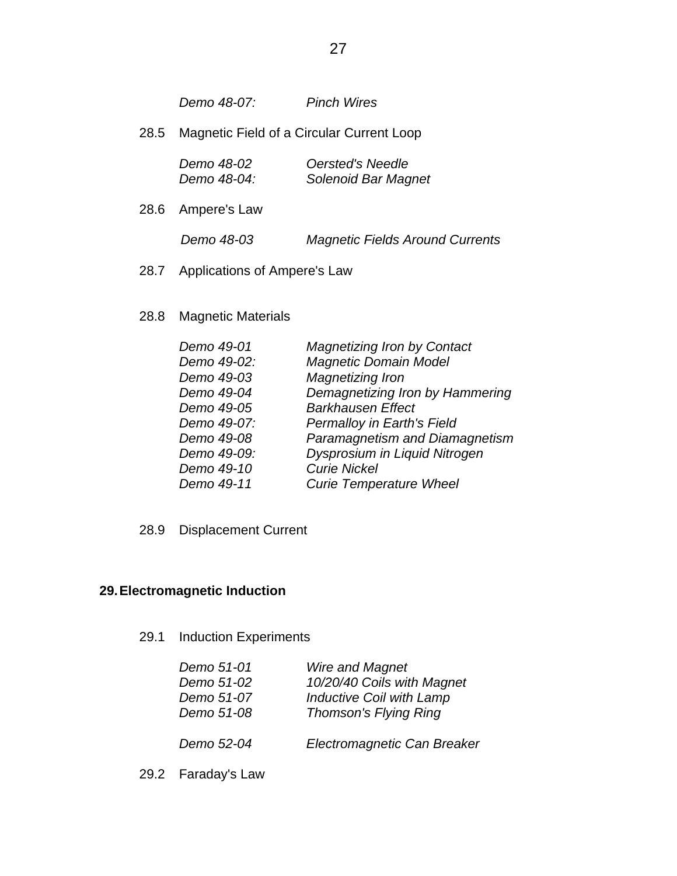*Demo 48-07: Pinch Wires* 

28.5 Magnetic Field of a Circular Current Loop

| Demo 48-02  | Oersted's Needle    |
|-------------|---------------------|
| Demo 48-04: | Solenoid Bar Magnet |

28.6 Ampere's Law

 *Demo 48-03 Magnetic Fields Around Currents* 

- 28.7 Applications of Ampere's Law
- 28.8 Magnetic Materials

| Demo 49-01  | <b>Magnetizing Iron by Contact</b> |
|-------------|------------------------------------|
| Demo 49-02: | <b>Magnetic Domain Model</b>       |
| Demo 49-03  | Magnetizing Iron                   |
| Demo 49-04  | Demagnetizing Iron by Hammering    |
| Demo 49-05  | <b>Barkhausen Effect</b>           |
| Demo 49-07: | <b>Permalloy in Earth's Field</b>  |
| Demo 49-08  | Paramagnetism and Diamagnetism     |
| Demo 49-09: | Dysprosium in Liquid Nitrogen      |
| Demo 49-10  | <b>Curie Nickel</b>                |
| Demo 49-11  | <b>Curie Temperature Wheel</b>     |

28.9 Displacement Current

### **29. Electromagnetic Induction**

29.1 Induction Experiments

| Demo 51-01 | <b>Wire and Magnet</b>          |
|------------|---------------------------------|
| Demo 51-02 | 10/20/40 Coils with Magnet      |
| Demo 51-07 | <b>Inductive Coil with Lamp</b> |
| Demo 51-08 | <b>Thomson's Flying Ring</b>    |
|            |                                 |
| Demo 52-04 | Electromagnetic Can Breaker     |
|            |                                 |

29.2 Faraday's Law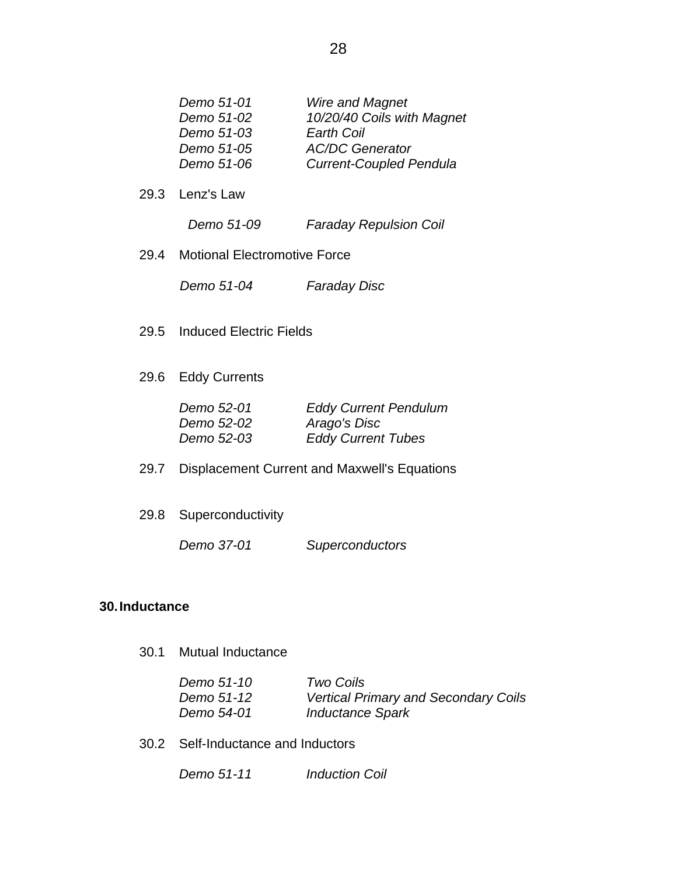| Demo 51-01 | <b>Wire and Magnet</b>         |
|------------|--------------------------------|
| Demo 51-02 | 10/20/40 Coils with Magnet     |
| Demo 51-03 | Earth Coil                     |
| Demo 51-05 | <b>AC/DC Generator</b>         |
| Demo 51-06 | <b>Current-Coupled Pendula</b> |

29.3 Lenz's Law

 *Demo 51-09 Faraday Repulsion Coil*

29.4 Motional Electromotive Force

 *Demo 51-04 Faraday Disc*

- 29.5 Induced Electric Fields
- 29.6 Eddy Currents

| Demo 52-01        | <b>Eddy Current Pendulum</b> |
|-------------------|------------------------------|
| <i>Demo 52-02</i> | Arago's Disc                 |
| Demo 52-03        | <b>Eddy Current Tubes</b>    |

- 29.7 Displacement Current and Maxwell's Equations
- 29.8 Superconductivity

 *Demo 37-01 Superconductors* 

#### **30. Inductance**

30.1 Mutual Inductance

| Demo 51-10 | Two Coils                                   |
|------------|---------------------------------------------|
| Demo 51-12 | <b>Vertical Primary and Secondary Coils</b> |
| Demo 54-01 | <b>Inductance Spark</b>                     |

30.2 Self-Inductance and Inductors

 *Demo 51-11 Induction Coil*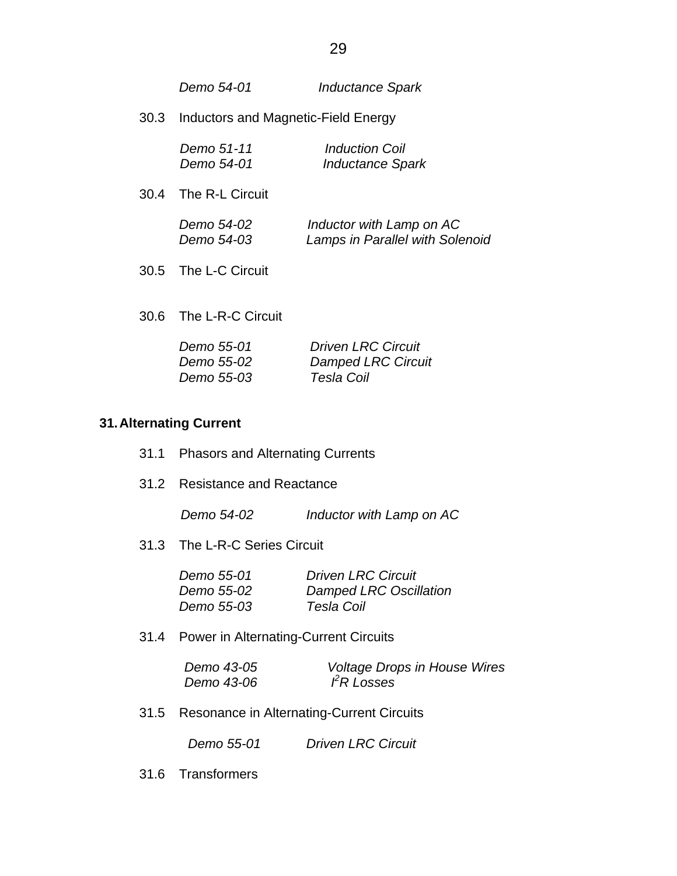|      | Demo 54-01                             | <b>Inductance Spark</b>                                     |
|------|----------------------------------------|-------------------------------------------------------------|
| 30.3 | Inductors and Magnetic-Field Energy    |                                                             |
|      | Demo 51-11<br>Demo 54-01               | <i>Induction Coil</i><br><b>Inductance Spark</b>            |
| 30.4 | The R-L Circuit                        |                                                             |
|      | <i>Demo 54-02</i><br><i>Demo 54-03</i> | Inductor with Lamp on AC<br>Lamps in Parallel with Solenoid |

30.5 The L-C Circuit

30.6 The L-R-C Circuit

| Demo 55-01 | <b>Driven LRC Circuit</b> |
|------------|---------------------------|
| Demo 55-02 | <b>Damped LRC Circuit</b> |
| Demo 55-03 | Tesla Coil                |

### **31. Alternating Current**

|  | 31.1 Phasors and Alternating Currents |  |
|--|---------------------------------------|--|
|--|---------------------------------------|--|

31.2 Resistance and Reactance

 *Demo 54-02 Inductor with Lamp on AC*

31.3 The L-R-C Series Circuit

| Demo 55-01        | <b>Driven LRC Circuit</b>     |
|-------------------|-------------------------------|
| Demo 55-02        | <b>Damped LRC Oscillation</b> |
| <i>Demo 55-03</i> | Tesla Coil                    |

31.4 Power in Alternating-Current Circuits

| Demo 43-05 | <b>Voltage Drops in House Wires</b> |
|------------|-------------------------------------|
| Demo 43-06 | FR Losses                           |

31.5 Resonance in Alternating-Current Circuits

 *Demo 55-01 Driven LRC Circuit*

31.6 Transformers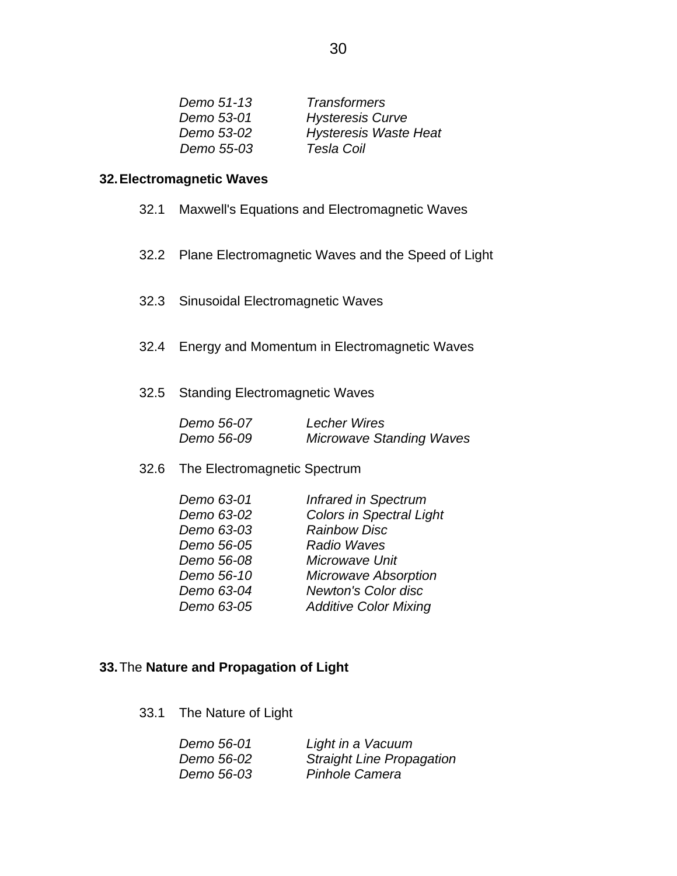| Demo 51-13 | <b>Transformers</b>          |
|------------|------------------------------|
| Demo 53-01 | <b>Hysteresis Curve</b>      |
| Demo 53-02 | <b>Hysteresis Waste Heat</b> |
| Demo 55-03 | Tesla Coil                   |

### **32. Electromagnetic Waves**

- 32.1 Maxwell's Equations and Electromagnetic Waves
- 32.2 Plane Electromagnetic Waves and the Speed of Light
- 32.3 Sinusoidal Electromagnetic Waves
- 32.4 Energy and Momentum in Electromagnetic Waves
- 32.5 Standing Electromagnetic Waves

| Demo 56-07 | <b>Lecher Wires</b>             |
|------------|---------------------------------|
| Demo 56-09 | <b>Microwave Standing Waves</b> |

32.6 The Electromagnetic Spectrum

| Demo 63-01 | <b>Infrared in Spectrum</b>     |
|------------|---------------------------------|
| Demo 63-02 | <b>Colors in Spectral Light</b> |
| Demo 63-03 | <b>Rainbow Disc</b>             |
| Demo 56-05 | <b>Radio Waves</b>              |
| Demo 56-08 | Microwave Unit                  |
| Demo 56-10 | <b>Microwave Absorption</b>     |
| Demo 63-04 | <b>Newton's Color disc</b>      |
| Demo 63-05 | <b>Additive Color Mixing</b>    |

### **33.** The **Nature and Propagation of Light**

33.1 The Nature of Light

| Demo 56-01 | Light in a Vacuum                |
|------------|----------------------------------|
| Demo 56-02 | <b>Straight Line Propagation</b> |
| Demo 56-03 | Pinhole Camera                   |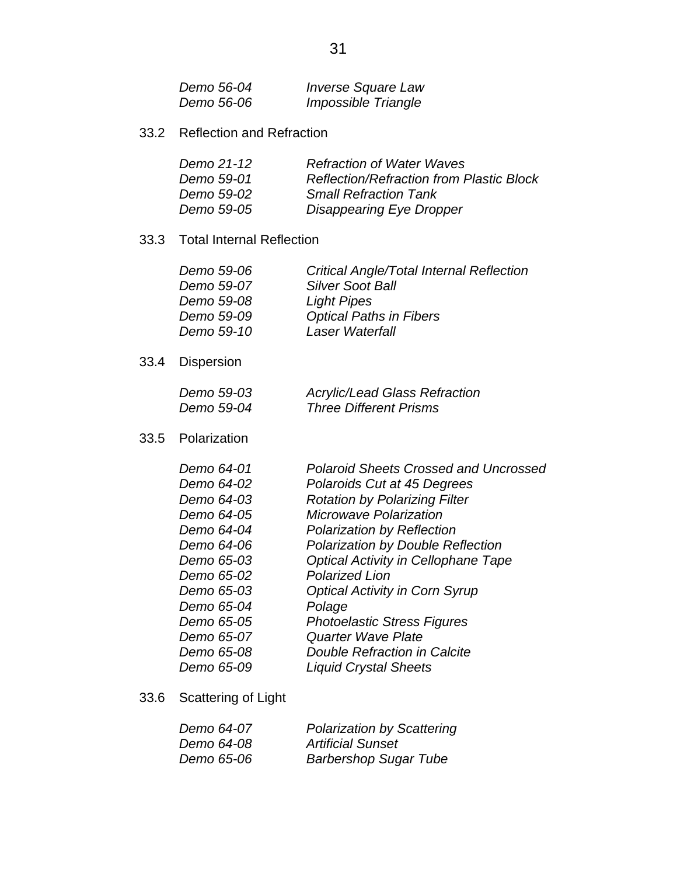| Demo 56-04 | <b>Inverse Square Law</b> |
|------------|---------------------------|
| Demo 56-06 | Impossible Triangle       |

33.2 Reflection and Refraction

| Demo 21-12        | <b>Refraction of Water Waves</b>                |
|-------------------|-------------------------------------------------|
| Demo 59-01        | <b>Reflection/Refraction from Plastic Block</b> |
| Demo 59-02        | <b>Small Refraction Tank</b>                    |
| <i>Demo 59-05</i> | Disappearing Eye Dropper                        |

### 33.3 Total Internal Reflection

| <b>Critical Angle/Total Internal Reflection</b> |
|-------------------------------------------------|
| <b>Silver Soot Ball</b>                         |
| <b>Light Pipes</b>                              |
| <b>Optical Paths in Fibers</b>                  |
| Laser Waterfall                                 |
|                                                 |

33.4 Dispersion

| Demo 59-03 | <b>Acrylic/Lead Glass Refraction</b> |
|------------|--------------------------------------|
| Demo 59-04 | <b>Three Different Prisms</b>        |

33.5 Polarization

| Demo 64-01 | <b>Polaroid Sheets Crossed and Uncrossed</b> |
|------------|----------------------------------------------|
| Demo 64-02 | Polaroids Cut at 45 Degrees                  |
| Demo 64-03 | <b>Rotation by Polarizing Filter</b>         |
| Demo 64-05 | <b>Microwave Polarization</b>                |
| Demo 64-04 | <b>Polarization by Reflection</b>            |
| Demo 64-06 | <b>Polarization by Double Reflection</b>     |
| Demo 65-03 | <b>Optical Activity in Cellophane Tape</b>   |
| Demo 65-02 | <b>Polarized Lion</b>                        |
| Demo 65-03 | <b>Optical Activity in Corn Syrup</b>        |
| Demo 65-04 | Polage                                       |
| Demo 65-05 | <b>Photoelastic Stress Figures</b>           |
| Demo 65-07 | Quarter Wave Plate                           |
| Demo 65-08 | <b>Double Refraction in Calcite</b>          |
| Demo 65-09 | <b>Liquid Crystal Sheets</b>                 |
|            |                                              |

33.6 Scattering of Light

| Demo 64-07 | <b>Polarization by Scattering</b> |
|------------|-----------------------------------|
| Demo 64-08 | <b>Artificial Sunset</b>          |
| Demo 65-06 | <b>Barbershop Sugar Tube</b>      |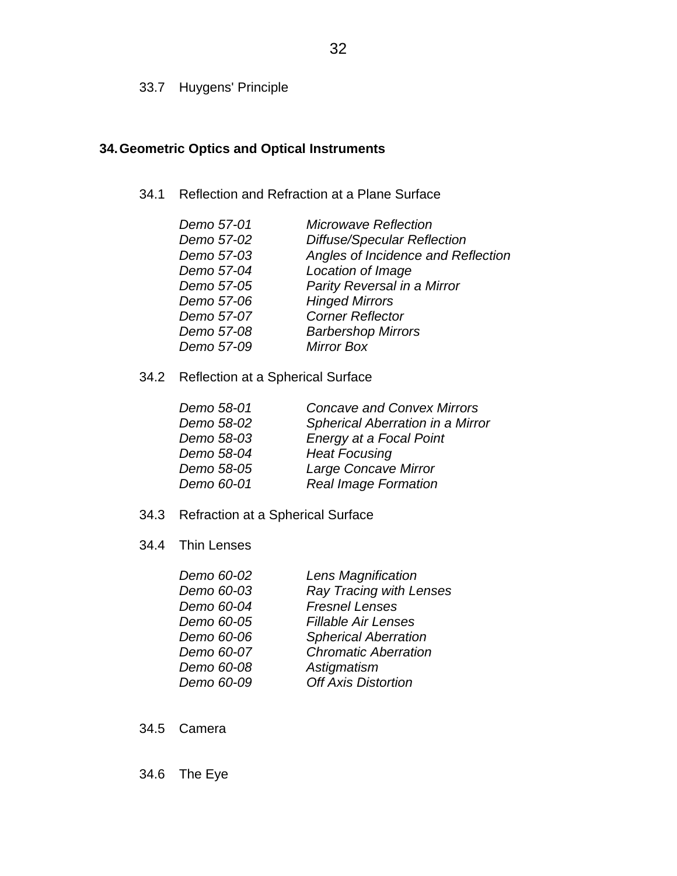33.7 Huygens' Principle

## **34. Geometric Optics and Optical Instruments**

34.1 Reflection and Refraction at a Plane Surface

| <b>Microwave Reflection</b>        |
|------------------------------------|
| <b>Diffuse/Specular Reflection</b> |
| Angles of Incidence and Reflection |
| Location of Image                  |
| Parity Reversal in a Mirror        |
| <b>Hinged Mirrors</b>              |
| <b>Corner Reflector</b>            |
| <b>Barbershop Mirrors</b>          |
| <b>Mirror Box</b>                  |
|                                    |

34.2 Reflection at a Spherical Surface

| Demo 58-01 | <b>Concave and Convex Mirrors</b> |
|------------|-----------------------------------|
| Demo 58-02 | Spherical Aberration in a Mirror  |
| Demo 58-03 | Energy at a Focal Point           |
| Demo 58-04 | <b>Heat Focusing</b>              |
| Demo 58-05 | Large Concave Mirror              |
| Demo 60-01 | <b>Real Image Formation</b>       |

- 34.3 Refraction at a Spherical Surface
- 34.4 Thin Lenses

| Demo 60-02 | Lens Magnification             |
|------------|--------------------------------|
| Demo 60-03 | <b>Ray Tracing with Lenses</b> |
| Demo 60-04 | <b>Fresnel Lenses</b>          |
| Demo 60-05 | <b>Fillable Air Lenses</b>     |
| Demo 60-06 | <b>Spherical Aberration</b>    |
| Demo 60-07 | <b>Chromatic Aberration</b>    |
| Demo 60-08 | Astigmatism                    |
| Demo 60-09 | <b>Off Axis Distortion</b>     |
|            |                                |

- 34.5 Camera
- 34.6 The Eye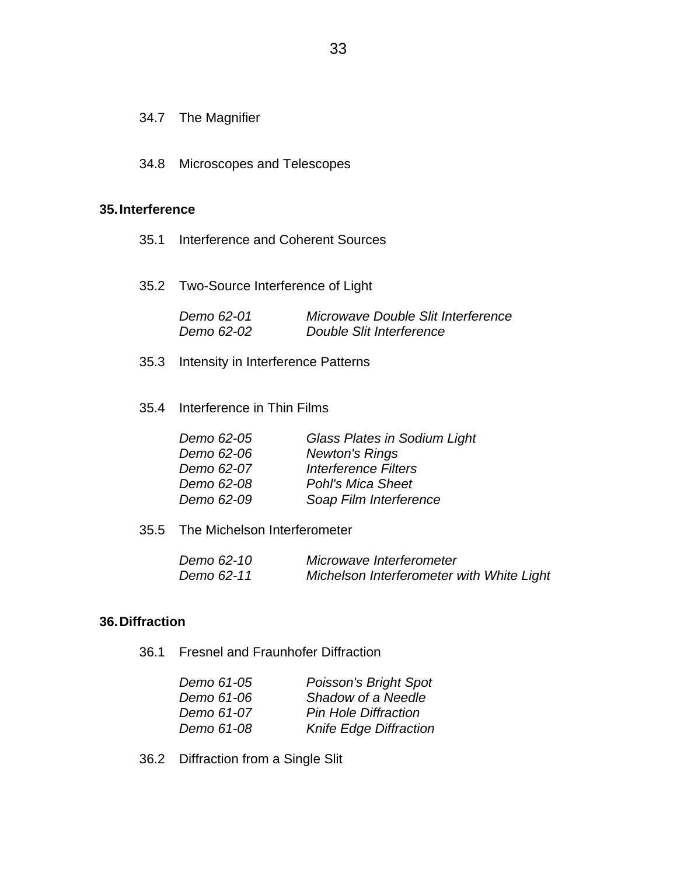### 34.7 The Magnifier

34.8 Microscopes and Telescopes

#### **35. Interference**

- 35.1 Interference and Coherent Sources
- 35.2 Two-Source Interference of Light

| Demo 62-01 | Microwave Double Slit Interference |
|------------|------------------------------------|
| Demo 62-02 | Double Slit Interference           |

- 35.3 Intensity in Interference Patterns
- 35.4 Interference in Thin Films

| Demo 62-05 | <b>Glass Plates in Sodium Light</b> |
|------------|-------------------------------------|
| Demo 62-06 | <b>Newton's Rings</b>               |
| Demo 62-07 | <b>Interference Filters</b>         |
| Demo 62-08 | <b>Pohl's Mica Sheet</b>            |
| Demo 62-09 | Soap Film Interference              |
|            |                                     |

35.5 The Michelson Interferometer

| Demo 62-10 | Microwave Interferometer                  |
|------------|-------------------------------------------|
| Demo 62-11 | Michelson Interferometer with White Light |

### **36. Diffraction**

36.1 Fresnel and Fraunhofer Diffraction

| Demo 61-05 | <b>Poisson's Bright Spot</b>  |
|------------|-------------------------------|
| Demo 61-06 | Shadow of a Needle            |
| Demo 61-07 | <b>Pin Hole Diffraction</b>   |
| Demo 61-08 | <b>Knife Edge Diffraction</b> |

36.2 Diffraction from a Single Slit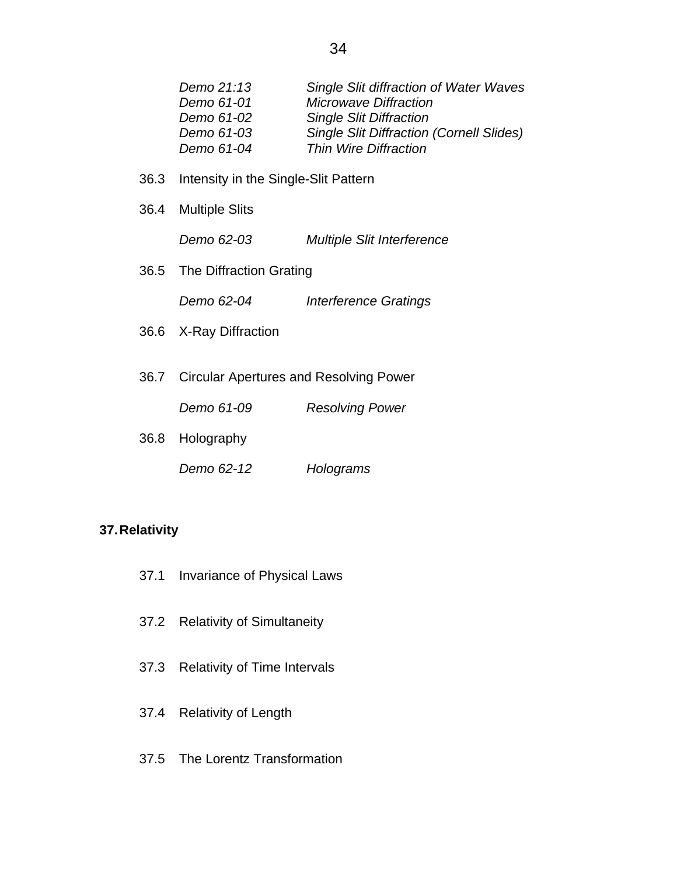| Single Slit diffraction of Water Waves          |
|-------------------------------------------------|
| <b>Microwave Diffraction</b>                    |
| <b>Single Slit Diffraction</b>                  |
| <b>Single Slit Diffraction (Cornell Slides)</b> |
| Thin Wire Diffraction                           |
|                                                 |

- 36.3 Intensity in the Single-Slit Pattern
- 36.4 Multiple Slits

 *Demo 62-03 Multiple Slit Interference* 

36.5 The Diffraction Grating

 *Demo 62-04 Interference Gratings* 

- 36.6 X-Ray Diffraction
- 36.7 Circular Apertures and Resolving Power
	- *Demo 61-09 Resolving Power*
- 36.8 Holography
	- *Demo 62-12 Holograms*

#### **37. Relativity**

- 37.1 Invariance of Physical Laws
- 37.2 Relativity of Simultaneity
- 37.3 Relativity of Time Intervals
- 37.4 Relativity of Length
- 37.5 The Lorentz Transformation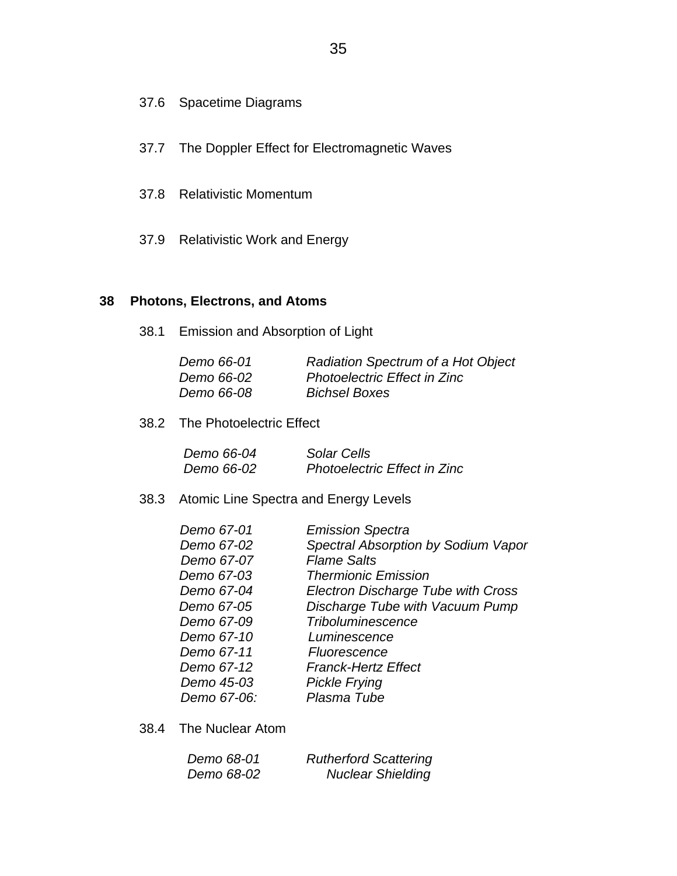- 37.6 Spacetime Diagrams
- 37.7 The Doppler Effect for Electromagnetic Waves
- 37.8 Relativistic Momentum
- 37.9 Relativistic Work and Energy

### **38 Photons, Electrons, and Atoms**

38.1 Emission and Absorption of Light

| Demo 66-01        | Radiation Spectrum of a Hot Object  |
|-------------------|-------------------------------------|
| <i>Demo 66-02</i> | <b>Photoelectric Effect in Zinc</b> |
| <i>Demo 66-08</i> | <b>Bichsel Boxes</b>                |

38.2 The Photoelectric Effect

| Demo 66-04 | Solar Cells                         |
|------------|-------------------------------------|
| Demo 66-02 | <b>Photoelectric Effect in Zinc</b> |

38.3 Atomic Line Spectra and Energy Levels

| Demo 67-01  | <b>Emission Spectra</b>                   |
|-------------|-------------------------------------------|
| Demo 67-02  | Spectral Absorption by Sodium Vapor       |
| Demo 67-07  | <b>Flame Salts</b>                        |
| Demo 67-03  | <b>Thermionic Emission</b>                |
| Demo 67-04  | <b>Electron Discharge Tube with Cross</b> |
| Demo 67-05  | Discharge Tube with Vacuum Pump           |
| Demo 67-09  | <b>Triboluminescence</b>                  |
| Demo 67-10  | Luminescence                              |
| Demo 67-11  | Fluorescence                              |
| Demo 67-12  | <b>Franck-Hertz Effect</b>                |
| Demo 45-03  | <b>Pickle Frying</b>                      |
| Demo 67-06: | Plasma Tube                               |

38.4 The Nuclear Atom

| Demo 68-01 | <b>Rutherford Scattering</b> |
|------------|------------------------------|
| Demo 68-02 | <b>Nuclear Shielding</b>     |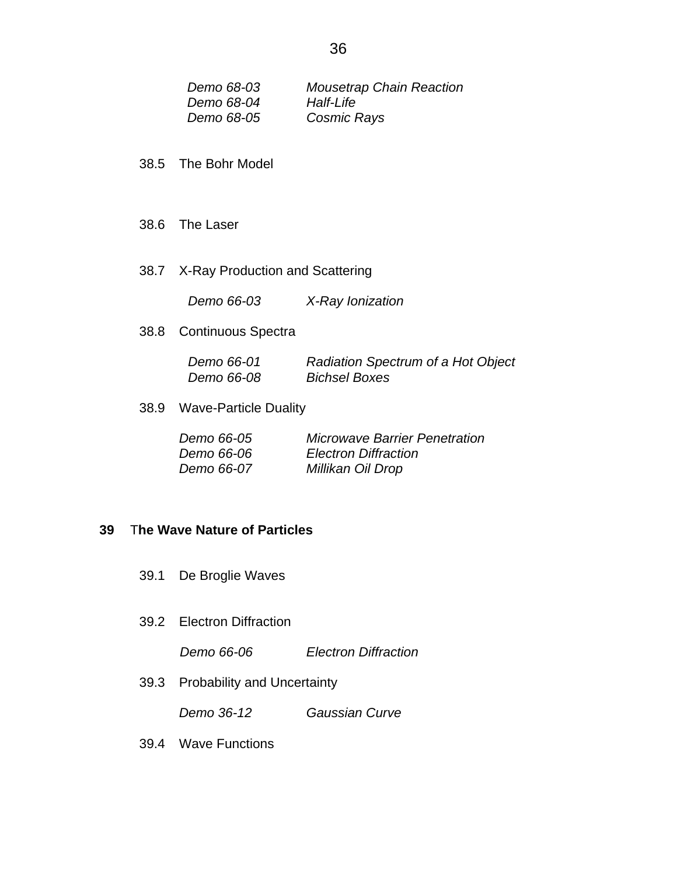| Demo 68-03 | <b>Mousetrap Chain Reaction</b> |
|------------|---------------------------------|
| Demo 68-04 | <i>Half-Life</i>                |
| Demo 68-05 | Cosmic Rays                     |

- 38.5 The Bohr Model
- 38.6 The Laser
- 38.7 X-Ray Production and Scattering

 *Demo 66-03 X-Ray Ionization* 

38.8 Continuous Spectra

| Demo 66-01        | Radiation Spectrum of a Hot Object |
|-------------------|------------------------------------|
| <i>Demo 66-08</i> | <b>Bichsel Boxes</b>               |

38.9 Wave-Particle Duality

| Demo 66-05        | <b>Microwave Barrier Penetration</b> |
|-------------------|--------------------------------------|
| <i>Demo 66-06</i> | <b>Electron Diffraction</b>          |
| Demo 66-07        | Millikan Oil Drop                    |

### **39** T**he Wave Nature of Particles**

- 39.1 De Broglie Waves
- 39.2 Electron Diffraction

 *Demo 66-06 Electron Diffraction* 

39.3 Probability and Uncertainty

*Demo 36-12 Gaussian Curve* 

39.4 Wave Functions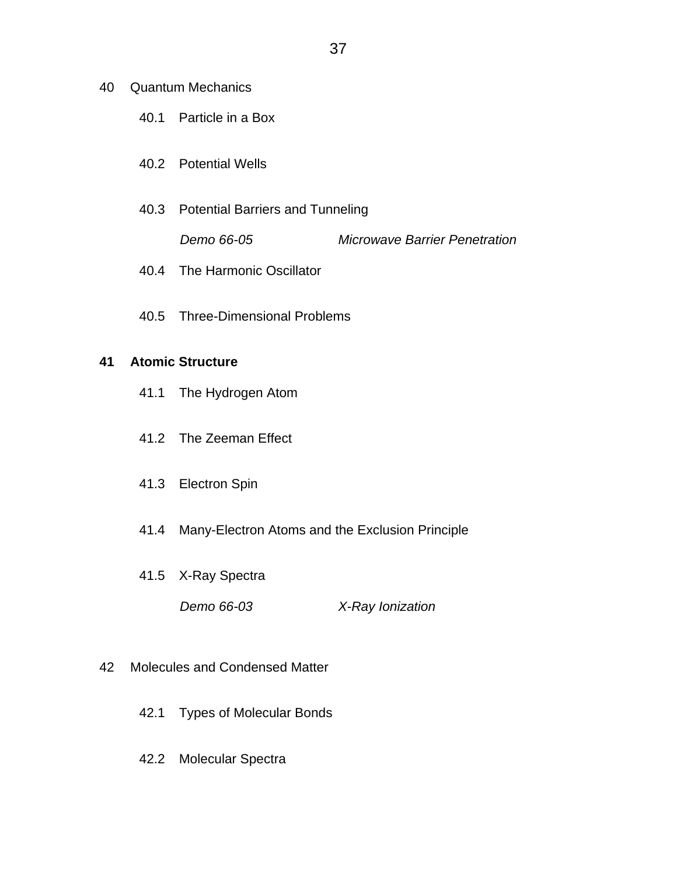- 40 Quantum Mechanics
	- 40.1 Particle in a Box
	- 40.2 Potential Wells
	- 40.3 Potential Barriers and Tunneling

 *Demo 66-05 Microwave Barrier Penetration* 

- 40.4 The Harmonic Oscillator
- 40.5 Three-Dimensional Problems

#### **41 Atomic Structure**

- 41.1 The Hydrogen Atom
- 41.2 The Zeeman Effect
- 41.3 Electron Spin
- 41.4 Many-Electron Atoms and the Exclusion Principle
- 41.5 X-Ray Spectra
	- *Demo 66-03 X-Ray Ionization*
- 42 Molecules and Condensed Matter
	- 42.1 Types of Molecular Bonds
	- 42.2 Molecular Spectra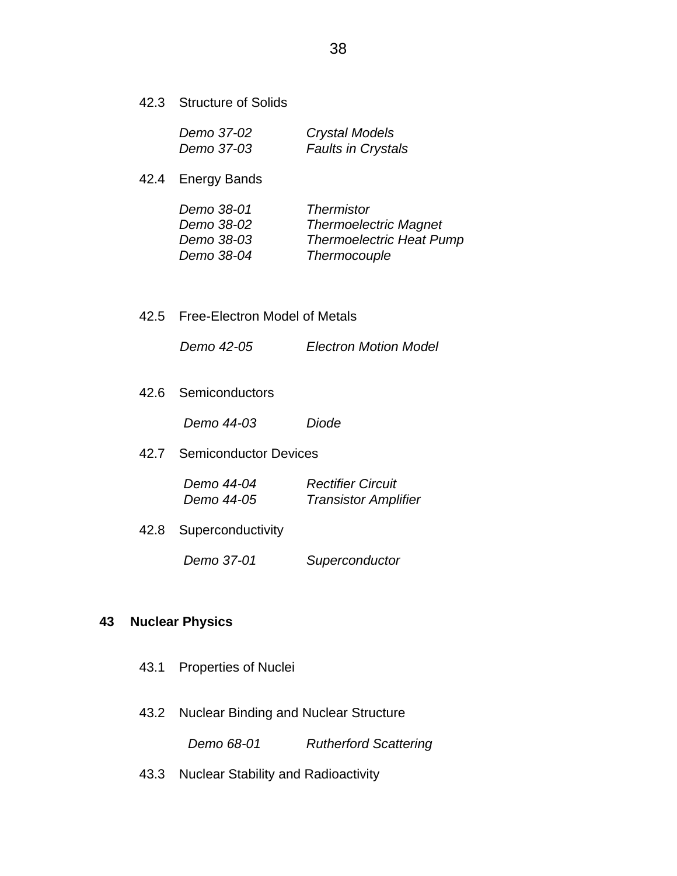42.3 Structure of Solids

| Demo 37-02 | <b>Crystal Models</b>     |
|------------|---------------------------|
| Demo 37-03 | <b>Faults in Crystals</b> |

42.4 Energy Bands

| Demo 38-01 | <b>Thermistor</b>               |
|------------|---------------------------------|
| Demo 38-02 | <b>Thermoelectric Magnet</b>    |
| Demo 38-03 | <b>Thermoelectric Heat Pump</b> |
| Demo 38-04 | Thermocouple                    |

42.5 Free-Electron Model of Metals

 *Demo 42-05 Electron Motion Model* 

42.6 Semiconductors

 *Demo 44-03 Diode* 

42.7 Semiconductor Devices

| Demo 44-04 | <b>Rectifier Circuit</b>    |
|------------|-----------------------------|
| Demo 44-05 | <b>Transistor Amplifier</b> |

42.8 Superconductivity

 *Demo 37-01 Superconductor* 

### **43 Nuclear Physics**

- 43.1 Properties of Nuclei
- 43.2 Nuclear Binding and Nuclear Structure

 *Demo 68-01 Rutherford Scattering* 

43.3 Nuclear Stability and Radioactivity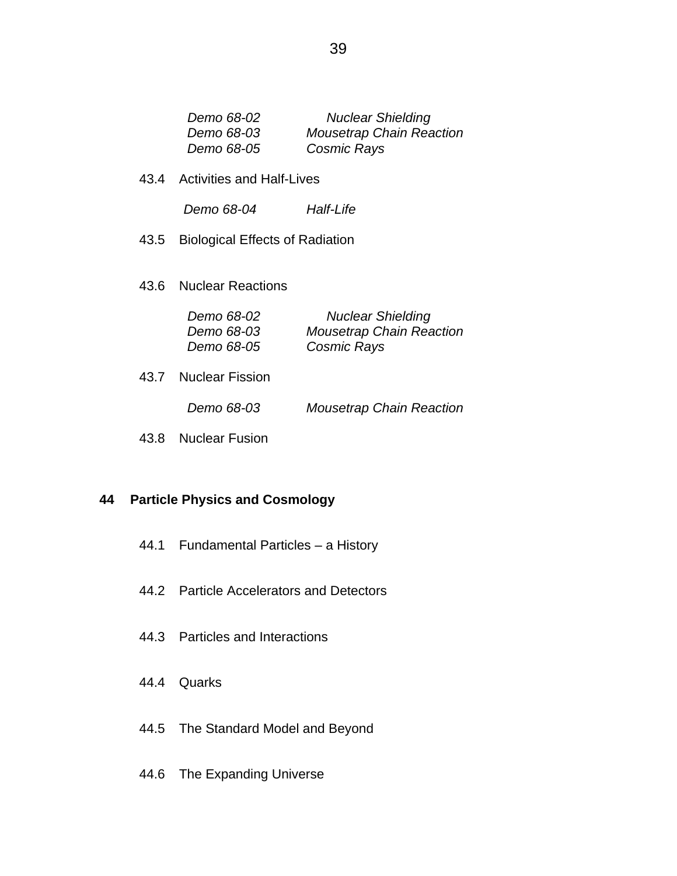| Demo 68-02 | <b>Nuclear Shielding</b>        |
|------------|---------------------------------|
| Demo 68-03 | <b>Mousetrap Chain Reaction</b> |
| Demo 68-05 | Cosmic Rays                     |

43.4 Activities and Half-Lives

 *Demo 68-04 Half-Life* 

- 43.5 Biological Effects of Radiation
- 43.6 Nuclear Reactions

| Demo 68-02 | <b>Nuclear Shielding</b>        |
|------------|---------------------------------|
| Demo 68-03 | <b>Mousetrap Chain Reaction</b> |
| Demo 68-05 | Cosmic Rays                     |

43.7 Nuclear Fission

 *Demo 68-03 Mousetrap Chain Reaction* 

43.8 Nuclear Fusion

### **44 Particle Physics and Cosmology**

- 44.1 Fundamental Particles a History
- 44.2 Particle Accelerators and Detectors
- 44.3 Particles and Interactions
- 44.4 Quarks
- 44.5 The Standard Model and Beyond
- 44.6 The Expanding Universe